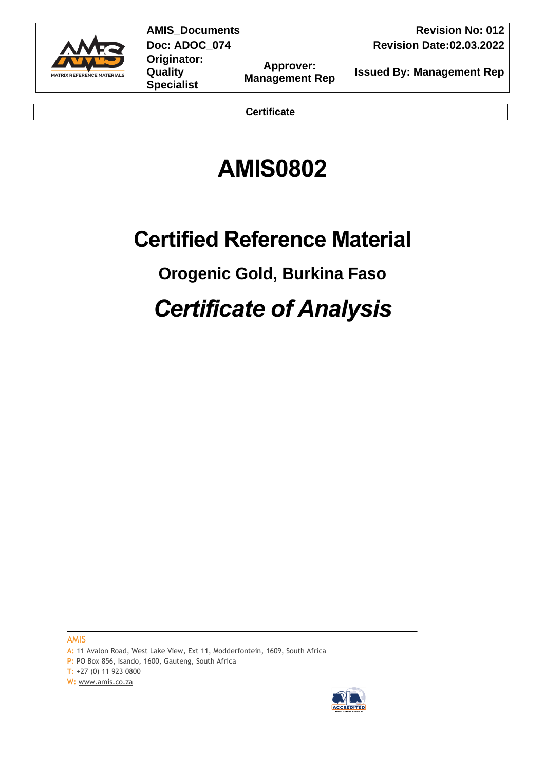

**Originator: Quality Specialist**

**Approver:** 

**AMIS** Documents **Revision No: 012 Doc: ADOC\_074 Revision Date:02.03.2022** 

**Management Rep Issued By: Management Rep** 

**Certificate**

# **AMIS0802**

# **Certified Reference Material**

# **Orogenic Gold, Burkina Faso**

# *Certificate of Analysis*

AMIS

**A:** 11 Avalon Road, West Lake View, Ext 11, Modderfontein, 1609, South Africa

**P:** PO Box 856, Isando, 1600, Gauteng, South Africa

**T:** +27 (0) 11 923 0800

**W:** [www.amis.co.za](http://www.amis.co.za/)

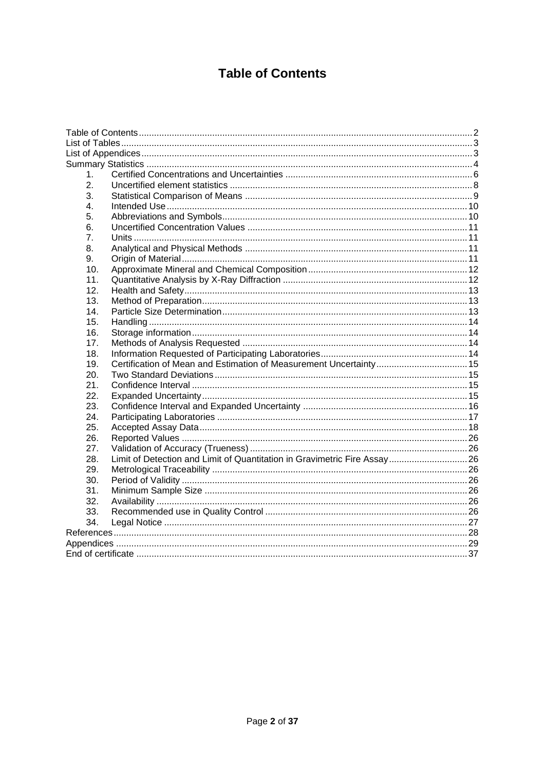## **Table of Contents**

<span id="page-1-0"></span>

| 1.  |                                                                           |  |
|-----|---------------------------------------------------------------------------|--|
| 2.  |                                                                           |  |
| 3.  |                                                                           |  |
| 4.  |                                                                           |  |
| 5.  |                                                                           |  |
| 6.  |                                                                           |  |
| 7.  |                                                                           |  |
| 8.  |                                                                           |  |
| 9.  |                                                                           |  |
| 10. |                                                                           |  |
| 11. |                                                                           |  |
| 12. |                                                                           |  |
| 13. |                                                                           |  |
| 14. |                                                                           |  |
| 15. |                                                                           |  |
| 16. |                                                                           |  |
| 17. |                                                                           |  |
| 18. |                                                                           |  |
| 19. | Certification of Mean and Estimation of Measurement Uncertainty 15        |  |
| 20. |                                                                           |  |
| 21. |                                                                           |  |
| 22. |                                                                           |  |
| 23. |                                                                           |  |
| 24. |                                                                           |  |
| 25. |                                                                           |  |
| 26. |                                                                           |  |
| 27. |                                                                           |  |
| 28. | Limit of Detection and Limit of Quantitation in Gravimetric Fire Assay 26 |  |
| 29. |                                                                           |  |
| 30. |                                                                           |  |
| 31. |                                                                           |  |
| 32. |                                                                           |  |
| 33. |                                                                           |  |
| 34. |                                                                           |  |
|     |                                                                           |  |
|     |                                                                           |  |
|     |                                                                           |  |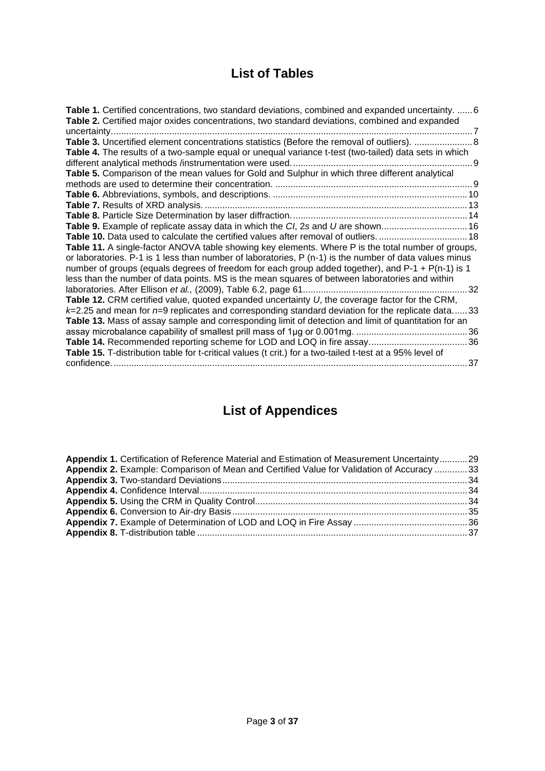# **List of Tables**

<span id="page-2-0"></span>

| Table 1. Certified concentrations, two standard deviations, combined and expanded uncertainty.  6<br>Table 2. Certified major oxides concentrations, two standard deviations, combined and expanded |
|-----------------------------------------------------------------------------------------------------------------------------------------------------------------------------------------------------|
| uncertainty                                                                                                                                                                                         |
| Table 3. Uncertified element concentrations statistics (Before the removal of outliers).  8                                                                                                         |
| Table 4. The results of a two-sample equal or unequal variance t-test (two-tailed) data sets in which                                                                                               |
| . 9                                                                                                                                                                                                 |
| Table 5. Comparison of the mean values for Gold and Sulphur in which three different analytical                                                                                                     |
|                                                                                                                                                                                                     |
|                                                                                                                                                                                                     |
| Table 7. Results of XRD analysis                                                                                                                                                                    |
|                                                                                                                                                                                                     |
| Table 9. Example of replicate assay data in which the CI, 2s and U are shown 16                                                                                                                     |
| Table 10. Data used to calculate the certified values after removal of outliers.  18                                                                                                                |
| Table 11. A single-factor ANOVA table showing key elements. Where P is the total number of groups,                                                                                                  |
| or laboratories. $P-1$ is 1 less than number of laboratories, $P(n-1)$ is the number of data values minus                                                                                           |
| number of groups (equals degrees of freedom for each group added together), and $P-1 + P(n-1)$ is 1                                                                                                 |
| less than the number of data points. MS is the mean squares of between laboratories and within                                                                                                      |
|                                                                                                                                                                                                     |
| Table 12. CRM certified value, quoted expanded uncertainty $U$ , the coverage factor for the CRM,                                                                                                   |
| $k=2.25$ and mean for $n=9$ replicates and corresponding standard deviation for the replicate data33                                                                                                |
| Table 13. Mass of assay sample and corresponding limit of detection and limit of quantitation for an                                                                                                |
|                                                                                                                                                                                                     |
|                                                                                                                                                                                                     |
| Table 15. T-distribution table for t-critical values (t crit.) for a two-tailed t-test at a 95% level of                                                                                            |
|                                                                                                                                                                                                     |

# <span id="page-2-1"></span>**List of Appendices**

| Appendix 1. Certification of Reference Material and Estimation of Measurement Uncertainty 29 |  |
|----------------------------------------------------------------------------------------------|--|
| Appendix 2. Example: Comparison of Mean and Certified Value for Validation of Accuracy  33   |  |
|                                                                                              |  |
|                                                                                              |  |
|                                                                                              |  |
|                                                                                              |  |
|                                                                                              |  |
|                                                                                              |  |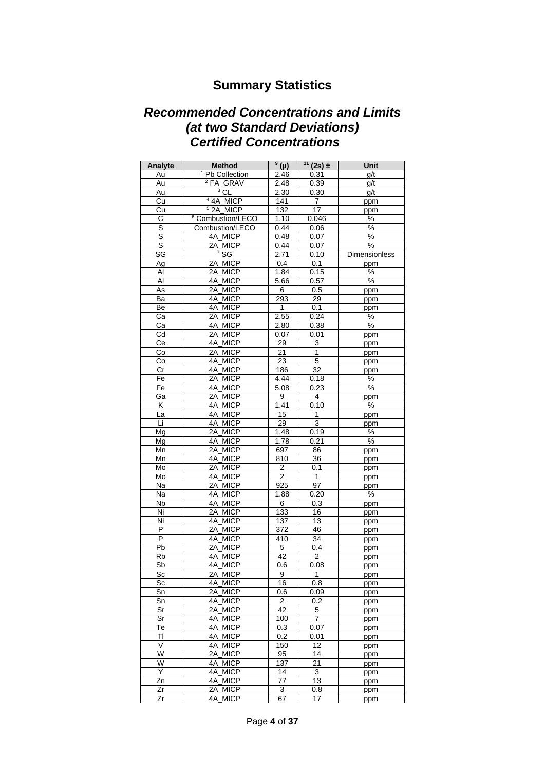# **Summary Statistics**

## <span id="page-3-0"></span>*Recommended Concentrations and Limits (at two Standard Deviations) Certified Concentrations*

| Analyte                 | Method                       | $\overline{9}$ (µ)     | $\frac{11}{11}$ (2s) ±  | Unit          |
|-------------------------|------------------------------|------------------------|-------------------------|---------------|
| Au                      | <sup>1</sup> Pb Collection   | 2.46                   | 0.31                    | g/t           |
| Au                      | $2$ FA_GRAV                  | 2.48                   | 0.39                    | g/t           |
| Au                      | $3$ CL                       | 2.30                   | 0.30                    | g/t           |
| Cu                      | <sup>4</sup> 4A_MICP         | 141                    | 7                       | ppm           |
| Cu                      | <sup>5</sup> 2A_MICP         | 132                    | 17                      | ppm           |
| $\overline{C}$          | <sup>6</sup> Combustion/LECO | 1.10                   | 0.046                   | $\%$          |
| $\overline{s}$          | Combustion/LECO              | 0.44                   | 0.06                    | %             |
| S                       | 4A_MICP                      | 0.48                   | 0.07                    | $\%$          |
| $\overline{s}$          | 2A_MICP                      | 0.44                   | 0.07                    | %             |
| SG                      | 7S                           | $\overline{2.71}$      | 0.10                    | Dimensionless |
| Ag                      | 2A_MICP                      | 0.4                    | 0.1                     | ppm           |
| Al                      | 2A_MICP                      | 1.84                   | 0.15                    | %             |
| Al                      | 4A_MICP                      | 5.66                   | 0.57                    | $\%$          |
| As                      | 2A MICP                      | 6                      | 0.5                     | ppm           |
| Ba                      | 4A_MICP                      | 293                    | 29                      | ppm           |
| Be                      | 4A_MICP                      | $\mathbf{1}$           | 0.1                     | ppm           |
| Ca                      | $2A$ _MICP                   | 2.55                   | 0.24                    | $\%$          |
| Ca                      | 4A_MICP                      | 2.80                   | 0.38                    | $\%$          |
| Cd                      | 2A_MICP                      | 0.07                   | 0.01                    | ppm           |
| Сe                      | 4A MICP                      | 29                     | 3                       | ppm           |
| Co                      | 2A_MICP                      | 21                     | 1                       |               |
| Co                      | 4A MICP                      | 23                     | $\overline{5}$          | ppm<br>ppm    |
| Сr                      | 4A_MICP                      | 186                    | 32                      |               |
| Fe                      | 2A_MICP                      | 4.44                   | 0.18                    | ppm<br>$\%$   |
| Fe                      | 4A MICP                      | 5.08                   | 0.23                    | $\frac{0}{6}$ |
|                         |                              |                        |                         |               |
| $\overline{G}a$<br>Κ    | 2A_MICP<br>4A_MICP           | $\overline{9}$<br>1.41 | $\overline{\mathbf{4}}$ | ppm           |
|                         |                              |                        | 0.10<br>$\mathbf{1}$    | $\%$          |
| La                      | 4A_MICP                      | 15                     |                         | ppm           |
| Li                      | 4A_MICP                      | 29                     | $\overline{3}$          | ppm           |
| Mg                      | 2A MICP                      | 1.48                   | 0.19                    | $\%$          |
| Mg                      | 4A_MICP                      | 1.78                   | 0.21                    | $\%$          |
| Mn                      | 2A MICP                      | 697                    | 86                      | ppm           |
| Mn                      | 4A MICP                      | 810                    | 36                      | ppm           |
| Mo                      | 2A_MICP                      | 2                      | 0.1                     | ppm           |
| Mo                      | 4A MICP                      | $\overline{2}$         | $\mathbf{1}$            | ppm           |
| Na                      | 2A_MICP                      | 925                    | 97                      | ppm           |
| Na                      | 4A_MICP                      | 1.88                   | 0.20                    | $\%$          |
| <b>Nb</b>               | 4A MICP                      | 6                      | 0.3                     | ppm           |
| Ni                      | 2A_MICP                      | 133                    | 16                      | ppm           |
| Ni                      | 4A MICP                      | 137                    | 13                      | ppm           |
| P                       | 2A_MICP                      | 372                    | 46                      | ppm           |
| P                       | 4A_MICP                      | 410                    | 34                      | ppm           |
| Pb                      | 2A_MICP                      | 5                      | 0.4                     | ppm           |
| <b>Rb</b>               | 4A_MICP                      | 42                     | $\overline{2}$          | ppm           |
| $\overline{\mathsf{S}}$ | 4A_MICP                      | 0.6                    | 0.08                    | ppm           |
| Sc                      | 2A_MICP                      | 9                      | 1                       | ppm           |
| Sc                      | 4A MICP                      | 16                     | 0.8                     | ppm           |
| Sn                      | 2A MICP                      | 0.6                    | 0.09                    | ppm           |
| Sn                      | 4A MICP                      | 2                      | 0.2                     | ppm           |
| Sr                      | <b>MICP</b><br>2Α            | 42                     | 5                       | ppm           |
| Sr                      | 4A MICP                      | 100                    | 7                       | ppm           |
| Тe                      | 4A MICP                      | 0.3                    | 0.07                    | ppm           |
| TI                      | 4A MICP                      | 0.2                    | 0.01                    | ppm           |
| Λ                       | 4A<br><b>MICP</b>            | 150                    | 12                      | ppm           |
| W                       | <b>MICP</b><br>2Α            | 95                     | 14                      | ppm           |
| W                       | <b>MICP</b><br>4A            | 137                    | 21                      | ppm           |
| Y                       | 4A MICP                      | 14                     | 3                       | ppm           |
| Zn                      | <b>MICP</b><br>4A            | 77                     | 13                      | ppm           |
| Zr                      | 2Α<br><b>MICP</b>            | 3                      | 0.8                     | ppm           |
| Zr                      | _MICP<br>4Α                  | 67                     | 17                      | ppm           |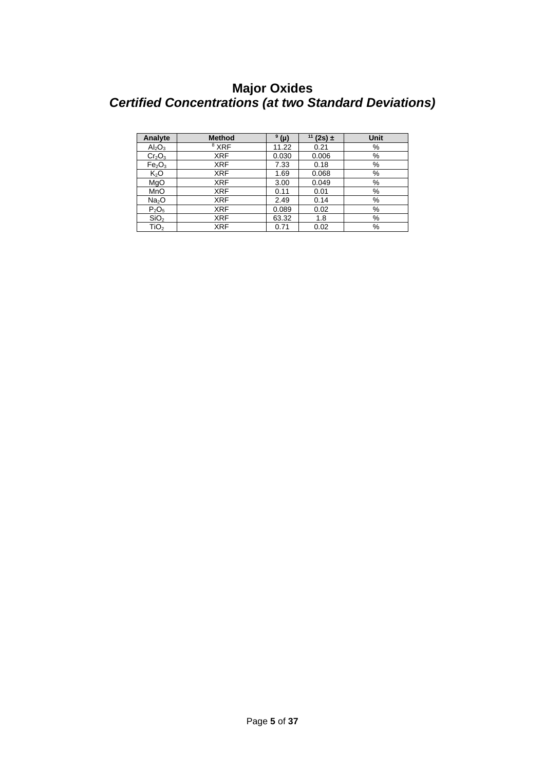## **Major Oxides** *Certified Concentrations (at two Standard Deviations)*

| Analyte                        | <b>Method</b>    | $9(\mu)$ | $\frac{11}{2}$ (2s) ± | <b>Unit</b> |
|--------------------------------|------------------|----------|-----------------------|-------------|
| Al <sub>2</sub> O <sub>3</sub> | <sup>8</sup> XRF | 11.22    | 0.21                  | %           |
| Cr <sub>2</sub> O <sub>3</sub> | <b>XRF</b>       | 0.030    | 0.006                 | %           |
| Fe <sub>2</sub> O <sub>3</sub> | <b>XRF</b>       | 7.33     | 0.18                  | %           |
| $K_2O$                         | <b>XRF</b>       | 1.69     | 0.068                 | %           |
| MgO                            | <b>XRF</b>       | 3.00     | 0.049                 | %           |
| MnO                            | <b>XRF</b>       | 0.11     | 0.01                  | %           |
| Na <sub>2</sub> O              | <b>XRF</b>       | 2.49     | 0.14                  | %           |
| $P_2O_5$                       | <b>XRF</b>       | 0.089    | 0.02                  | %           |
| SiO <sub>2</sub>               | <b>XRF</b>       | 63.32    | 1.8                   | %           |
| TiO <sub>2</sub>               | <b>XRF</b>       | 0.71     | 0.02                  | %           |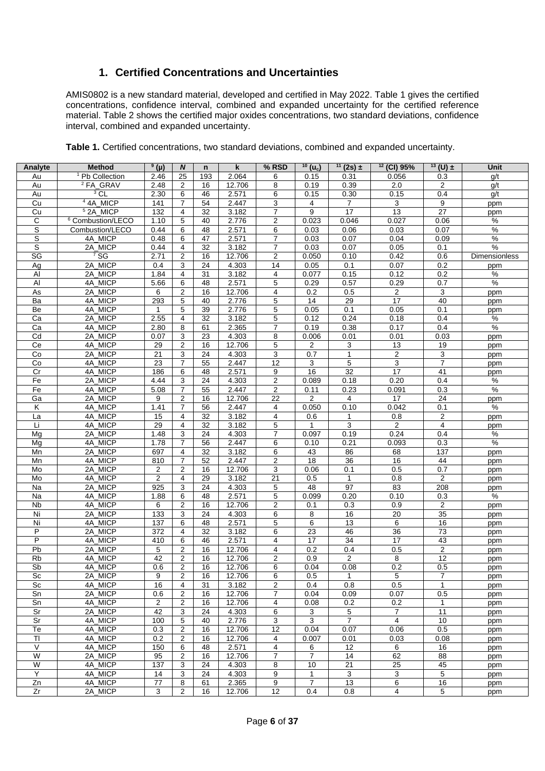## **1. Certified Concentrations and Uncertainties**

<span id="page-5-0"></span>AMIS0802 is a new standard material, developed and certified in May 2022. [Table 1](#page-5-1) gives the certified concentrations, confidence interval, combined and expanded uncertainty for the certified reference material. [Table 2](#page-6-0) shows the certified major oxides concentrations, two standard deviations, confidence interval, combined and expanded uncertainty.

<span id="page-5-1"></span>

| Table 1. Certified concentrations, two standard deviations, combined and expanded uncertainty. |
|------------------------------------------------------------------------------------------------|
|------------------------------------------------------------------------------------------------|

| Analyte                 | <b>Method</b>              | $9(\mu)$         | N                   | n               | $\mathbf k$     | % RSD           | $\overline{10}$ (u <sub>c</sub> ) | $\frac{11}{2}$ (2s) ±  | $12$ (CI) 95%  | $\overline{13}$ (U) $\pm$ | Unit          |
|-------------------------|----------------------------|------------------|---------------------|-----------------|-----------------|-----------------|-----------------------------------|------------------------|----------------|---------------------------|---------------|
| Au                      | <sup>1</sup> Pb Collection | 2.46             | 25                  | 193             | 2.064           | 6               | 0.15                              | 0.31                   | 0.056          | 0.3                       | q/t           |
| Au                      | <sup>2</sup> FA_GRAV       | 2.48             | 2                   | 16              | 12.706          | 8               | 0.19                              | 0.39                   | 2.0            | 2                         | g/t           |
| Au                      | $3$ CL                     | 2.30             | 6                   | 46              | 2.571           | 6               | 0.15                              | 0.30                   | 0.15           | 0.4                       | g/t           |
| Cu                      | $44A$ <sub>MICP</sub>      | 141              | $\overline{7}$      | 54              | 2.447           | 3               | 4                                 | 7                      | 3              | 9                         | ppm           |
| $\overline{Cu}$         | <sup>5</sup> 2A_MICP       | 132              | 4                   | 32              | 3.182           | $\overline{7}$  | 9                                 | 17                     | 13             | 27                        | ppm           |
| С                       | $6$ Combustion/LECO        | 1.10             | 5                   | 40              | 2.776           | 2               | 0.023                             | 0.046                  | 0.027          | 0.06                      | $\%$          |
| S                       | Combustion/LECO            | 0.44             | 6                   | 48              | 2.571           | 6               | 0.03                              | 0.06                   | 0.03           | 0.07                      | %             |
| $\overline{s}$          | 4A MICP                    | 0.48             | 6                   | 47              | 2.571           | $\overline{7}$  | 0.03                              | 0.07                   | 0.04           | 0.09                      | $\%$          |
| S                       | 2A_MICP                    | 0.44             | 4                   | 32              | 3.182           | 7               | 0.03                              | 0.07                   | 0.05           | 0.1                       | $\%$          |
| SG                      | $7S$ G                     | 2.71             | 2                   | 16              | 12.706          | 2               | 0.050                             | 0.10                   | 0.42           | 0.6                       | Dimensionless |
| Ag                      | 2A_MICP                    | 0.4              | 3                   | 24              | 4.303           | 14              | 0.05                              | 0.1                    | 0.07           | 0.2                       | ppm           |
| Al                      | 2A_MICP                    | 1.84             | 4                   | 31              | 3.182           | 4               | 0.077                             | 0.15                   | 0.12           | 0.2                       | %             |
| Al                      | 4A_MICP                    | 5.66             | 6                   | 48              | 2.571           | 5               | 0.29                              | 0.57                   | 0.29           | 0.7                       | $\%$          |
| As                      | 2A_MICP                    | 6                | $\overline{2}$      | 16              | 12.706          | 4               | 0.2                               | 0.5                    | $\overline{2}$ | $\overline{3}$            | ppm           |
| Ba                      | 4A_MICP                    | 293              | 5                   | 40              | 2.776           | 5               | 14                                | 29                     | 17             | 40                        | ppm           |
| Be                      | 4A_MICP                    | $\mathbf{1}$     | 5                   | 39              | 2.776           | 5               | 0.05                              | 0.1                    | 0.05           | 0.1                       | ppm           |
| Ca                      | 2A_MICP<br>4A_MICP         | 2.55             | 4                   | 32              | 3.182           | 5<br>7          | 0.12                              | 0.24                   | 0.18           | 0.4<br>0.4                | $\%$<br>%     |
| Ca<br>Cd                | 2A_MICP                    | 2.80<br>0.07     | 8<br>3              | 61<br>23        | 2.365<br>4.303  | 8               | 0.19<br>0.006                     | 0.38<br>0.01           | 0.17<br>0.01   | 0.03                      |               |
| Ce                      | 4A_MICP                    | 29               | 2                   | 16              | 12.706          | 5               |                                   |                        | 13             | 19                        | ppm           |
| Co                      | 2A_MICP                    | 21               | 3                   | 24              | 4.303           | 3               | 2<br>0.7                          | 3<br>1                 | $\overline{2}$ | 3                         | ppm           |
| Co                      | 4A_MICP                    | 23               | $\overline{7}$      | 55              | 2.447           | $\overline{12}$ | 3                                 | 5                      | 3              | $\overline{7}$            | ppm           |
| Cr                      | 4A_MICP                    | 186              | 6                   | 48              | 2.571           | 9               | 16                                | 32                     | 17             | 41                        | ppm           |
| Fe                      | 2A_MICP                    | 4.44             | 3                   | 24              | 4.303           | 2               | 0.089                             | 0.18                   | 0.20           | 0.4                       | ppm<br>$\%$   |
| Fe                      | 4A_MICP                    | 5.08             | $\overline{7}$      | 55              | 2.447           | 2               | 0.11                              | 0.23                   | 0.091          | 0.3                       | $\%$          |
| Ga                      | 2A_MICP                    | 9                | $\boldsymbol{2}$    | 16              | 12.706          | $\overline{22}$ | $\overline{2}$                    | 4                      | 17             | 24                        | ppm           |
| Κ                       | 4A_MICP                    | 1.41             | $\overline{7}$      | 56              | 2.447           | 4               | 0.050                             | 0.10                   | 0.042          | 0.1                       | $\%$          |
| La                      | 4A_MICP                    | 15               | 4                   | 32              | 3.182           | 4               | 0.6                               | 1                      | 0.8            | $\overline{2}$            | ppm           |
| Li                      | 4A_MICP                    | 29               | $\overline{4}$      | $\overline{32}$ | 3.182           | 5               | 1                                 | 3                      | 2              | $\overline{4}$            | ppm           |
| Mg                      | 2A_MICP                    | 1.48             | 3                   | 24              | 4.303           | 7               | 0.097                             | 0.19                   | 0.24           | 0.4                       | $\%$          |
| Mg                      | 4A_MICP                    | 1.78             | $\overline{7}$      | 56              | 2.447           | 6               | 0.10                              | 0.21                   | 0.093          | 0.3                       | $\%$          |
| Mn                      | 2A_MICP                    | 697              | 4                   | $\overline{32}$ | 3.182           | 6               | 43                                | 86                     | 68             | $\overline{137}$          | ppm           |
| Mn                      | 4A_MICP                    | 810              | $\overline{7}$      | 52              | 2.447           | 2               | 18                                | 36                     | 16             | 44                        | ppm           |
| Mo                      | 2A_MICP                    | $\boldsymbol{2}$ | $\overline{2}$      | 16              | 12.706          | 3               | 0.06                              | 0.1                    | 0.5            | 0.7                       | ppm           |
| Mo                      | 4A_MICP                    | $\overline{2}$   | 4                   | 29              | 3.182           | 21              | 0.5                               | $\mathbf{1}$           | 0.8            | $\overline{c}$            | ppm           |
| Na                      | 2A_MICP                    | 925              | 3                   | 24              | 4.303           | 5               | 48                                | 97                     | 83             | 208                       | ppm           |
| Na                      | 4A_MICP                    | 1.88             | 6                   | 48              | 2.571           | 5               | 0.099                             | 0.20                   | 0.10           | 0.3                       | %             |
| Nb                      | 4A_MICP                    | 6                | $\overline{c}$      | 16              | 12.706          | 2               | 0.1                               | 0.3                    | 0.9            | 2                         | ppm           |
| Ni                      | 2A_MICP                    | 133              | 3                   | 24              | 4.303           | 6               | 8                                 | 16                     | 20             | 35                        | ppm           |
| Ni                      | 4A_MICP                    | 137              | 6                   | 48              | 2.571           | 5               | 6                                 | 13                     | 6              | 16                        | ppm           |
| P                       | 2A_MICP                    | 372              | 4                   | 32              | 3.182           | 6               | 23                                | 46                     | 36             | 73                        | ppm           |
| P                       | 4A_MICP                    | 410              | 6                   | 46              | 2.571           | $\overline{4}$  | 17                                | 34                     | 17             | 43                        | ppm           |
| Pb                      | 2A_MICP                    | 5                | 2                   | 16              | 12.706          | 4               | 0.2                               | 0.4                    | 0.5            | $\overline{2}$            | ppm           |
| <b>Rb</b>               | 4A_MICP                    | 42               | 2                   | 16              | 12.706          | 2               | 0.9                               | 2                      | 8              | 12                        | ppm           |
| Sb                      | 4A_MICP                    | 0.6              | 2                   | 16              | 12.706          | 6               | 0.04                              | 0.08                   | 0.2            | 0.5                       | ppm           |
| Sc                      | 2A_MICP                    | 9                | 2                   | 16              | 12.706          | 6               | 0.5                               | 1                      | 5              | 7                         | ppm           |
| Sc                      | 4A_MICP                    | 16               | $\overline{4}$      | 31              | 3.182           | 2               | 0.4                               | 0.8                    | 0.5            | $\mathbf{1}$              | ppm           |
| Sn                      | 2A_MICP                    | 0.6              | 2                   | 16              | 12.706          | $\overline{7}$  | 0.04                              | 0.09                   | 0.07           | 0.5                       | ppm           |
| Sn                      | 4A_MICP                    | $\overline{2}$   | 2                   | 16              | 12.706          | 4               | 0.08                              | 0.2                    | 0.2            | $\mathbf{1}$              | ppm           |
| Sr                      | 2A_MICP                    | 42               | 3                   | 24              | 4.303           | 6               | 3                                 | 5                      | $\overline{7}$ | 11                        | ppm           |
| Sr<br>Te                | 4A_MICP<br>4A_MICP         | 100<br>0.3       | 5<br>$\overline{c}$ | 40<br>16        | 2.776<br>12.706 | 3<br>12         | 3<br>0.04                         | $\overline{7}$<br>0.07 | 4<br>0.06      | 10<br>0.5                 | ppm           |
| TI                      | 4A_MICP                    | 0.2              | 2                   | 16              | 12.706          | 4               | 0.007                             | 0.01                   | 0.03           | 0.08                      | ppm           |
| V                       | 4A_MICP                    | 150              | 6                   | 48              | 2.571           | 4               | 6                                 | 12                     | 6              | 16                        | ppm           |
| W                       | 2A_MICP                    | 95               | $\overline{2}$      | 16              | 12.706          | $\overline{7}$  | $\overline{7}$                    | 14                     | 62             | 88                        | ppm           |
| $\overline{\mathsf{W}}$ | 4A_MICP                    | 137              | 3                   | 24              | 4.303           | 8               | 10                                | 21                     | 25             | 45                        | ppm<br>ppm    |
| Y                       | 4A MICP                    | 14               | 3                   | 24              | 4.303           | 9               | 1                                 | 3                      | 3              | 5                         | ppm           |
| Zn                      | 4A MICP                    | 77               | 8                   | 61              | 2.365           | 9               | $\overline{7}$                    | 13                     | 6              | 16                        | ppm           |
| Zr                      | 2A_MICP                    | 3                | 2                   | 16              | 12.706          | 12              | 0.4                               | 0.8                    | 4              | 5                         | ppm           |
|                         |                            |                  |                     |                 |                 |                 |                                   |                        |                |                           |               |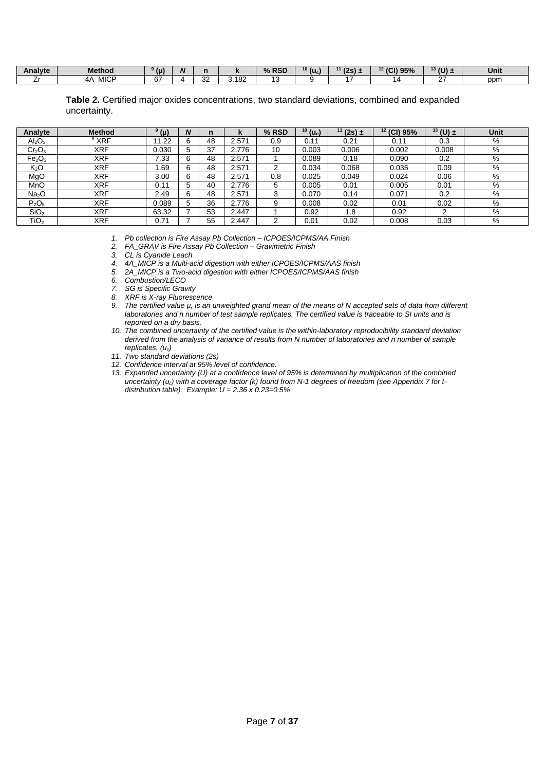| Analyte | Method                     | (μ            |              |                | $%$ RSL | $10 (U_{c})$ | 12 <sub>n</sub> | 10 <sup>4</sup><br>(CI) 95% | $13 \, \mu \text{m}$ | Unit |
|---------|----------------------------|---------------|--------------|----------------|---------|--------------|-----------------|-----------------------------|----------------------|------|
|         | <b>MICF</b><br>4A<br>- - - | $\sim$<br>O 1 | $\sim$<br>ےت | 3.182<br>_____ |         |              |                 |                             | $\sim$ $-$<br>-      | ppm  |

<span id="page-6-0"></span>

|              | Table 2. Certified major oxides concentrations, two standard deviations, combined and expanded |  |  |
|--------------|------------------------------------------------------------------------------------------------|--|--|
| uncertainty. |                                                                                                |  |  |

| Analyte                        | <b>Method</b> | $9(\mu)$       |        | n  | ĸ     | % RSD | $10 (u_c)$ | $11$ (2s) $\pm$ | $12$ (CI) 95% | $13$ (U) $\pm$ | <b>Unit</b> |
|--------------------------------|---------------|----------------|--------|----|-------|-------|------------|-----------------|---------------|----------------|-------------|
| $\mathsf{Al}_2\mathsf{O}_3$    | $8$ XRF       | 11.22          |        | 48 | 2.571 | 0.9   | 0.11       | $0.2^{\prime}$  | $0.1^{\cdot}$ | 0.3            | %           |
| $Cr_2O_3$                      | <b>XRF</b>    | 0.030          | G      | 37 | 2.776 | 10    | 0.003      | 0.006           | 0.002         | 0.008          | %           |
| Fe <sub>2</sub> O <sub>3</sub> | <b>XRF</b>    | $^{\prime}.33$ | 6      | 48 | 2.571 |       | 0.089      | 0.18            | 0.090         | 0.2            | %           |
| K <sub>2</sub> O               | <b>XRF</b>    | .69            | $\sim$ | 48 | 2.571 |       | 0.034      | 0.068           | 0.035         | 0.09           | %           |
| MgO                            | <b>XRF</b>    | 3.00           | ⌒      | 48 | 2.571 | 0.8   | 0.025      | 0.049           | 0.024         | 0.06           | %           |
| MnO                            | <b>XRF</b>    |                | G      | 40 | 2.776 |       | 0.005      | 0.01            | 0.005         | 0.01           | %           |
| Na <sub>2</sub> O              | <b>XRF</b>    | 2.49           | 6      | 48 | 2.571 |       | 0.070      | 0.14            | 0.071         | 0.2            | %           |
| $P_2O_5$                       | <b>XRF</b>    | 0.089          | 5      | 36 | 2.776 |       | 0.008      | 0.02            | 0.01          | 0.02           | %           |
| SiO <sub>2</sub>               | <b>XRF</b>    | 63.32          |        | 53 | 2.447 |       | 0.92       | . 8             | 0.92          | ⌒              | %           |
| TiO <sub>2</sub>               | XRF           |                |        | 55 | 2.447 |       | 0.01       | 0.02            | 0.008         | 0.03           | %           |

*1. Pb collection is Fire Assay Pb Collection – ICPOES/ICPMS/AA Finish*

*2. FA\_GRAV is Fire Assay Pb Collection – Gravimetric Finish*

*3. CL is Cyanide Leach* 

*4. 4A\_MICP is a Multi-acid digestion with either ICPOES/ICPMS/AAS finish*

*5. 2A\_MICP is a Two-acid digestion with either ICPOES/ICPMS/AAS finish*

*6. Combustion/LECO*

*7. SG is Specific Gravity*

*8. XRF is X-ray Fluorescence*

*9. The certified value µ, is an unweighted grand mean of the means of N accepted sets of data from different laboratories and n number of test sample replicates. The certified value is traceable to SI units and is reported on a dry basis.*

*10. The combined uncertainty of the certified value is the within-laboratory reproducibility standard deviation*  derived from the analysis of variance of results from N number of laboratories and n number of sample *replicates. (uc)*

*11. Two standard deviations (2s)* 

*12. Confidence interval at 95% level of confidence.* 

*13. Expanded uncertainty (U) at a confidence level of 95% is determined by multiplication of the combined uncertainty (uc) with a coverage factor (k) found from N-1 degrees of freedom (see Appendix 7 for tdistribution table). Example: U = 2.36 x 0.23=0.5%*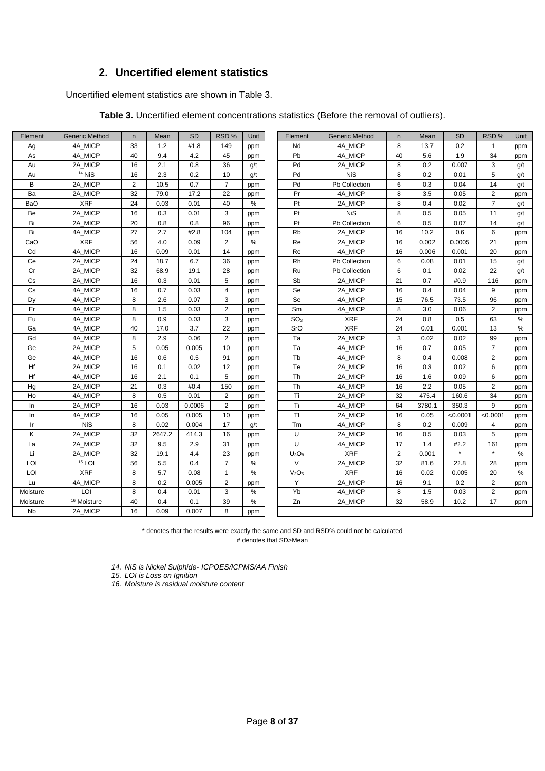## **2. Uncertified element statistics**

<span id="page-7-1"></span><span id="page-7-0"></span>Uncertified element statistics are shown in Table 3.

| Element              | <b>Generic Method</b>  | n              | Mean   | <b>SD</b> | RSD%           | Unit | Element                       | <b>Generic Method</b> | $\mathsf{n}$ | Mean   | <b>SD</b> | RSD%           | Unit          |
|----------------------|------------------------|----------------|--------|-----------|----------------|------|-------------------------------|-----------------------|--------------|--------|-----------|----------------|---------------|
| Ag                   | 4A MICP                | 33             | 1.2    | #1.8      | 149            | ppm  | Nd                            | 4A MICP               | 8            | 13.7   | 0.2       | $\mathbf{1}$   | ppm           |
| As                   | 4A_MICP                | 40             | 9.4    | 4.2       | 45             | ppm  | Pb                            | 4A MICP               | 40           | 5.6    | 1.9       | 34             | ppm           |
| Au                   | 2A MICP                | 16             | 2.1    | 0.8       | 36             | g/t  | Pd                            | 2A MICP               | 8            | 0.2    | 0.007     | 3              | g/t           |
| Au                   | $14$ NiS               | 16             | 2.3    | 0.2       | 10             | g/t  | Pd                            | <b>NiS</b>            | 8            | 0.2    | 0.01      | 5              | g/t           |
| В                    | 2A_MICP                | $\overline{2}$ | 10.5   | 0.7       | $\overline{7}$ | ppm  | Pd                            | Pb Collection         | 6            | 0.3    | 0.04      | 14             | g/t           |
| Ba                   | 2A MICP                | 32             | 79.0   | 17.2      | 22             | ppm  | Pr                            | 4A MICP               | 8            | 3.5    | 0.05      | 2              | ppm           |
| <b>BaO</b>           | <b>XRF</b>             | 24             | 0.03   | 0.01      | 40             | %    | Pt                            | 2A MICP               | 8            | 0.4    | 0.02      | $\overline{7}$ | g/t           |
| Be                   | 2A_MICP                | 16             | 0.3    | 0.01      | 3              | ppm  | Pt                            | <b>NiS</b>            | 8            | 0.5    | 0.05      | 11             | g/t           |
| Bi                   | 2A MICP                | 20             | 0.8    | 0.8       | 96             | ppm  | Pt                            | Pb Collection         | 6            | 0.5    | 0.07      | 14             | g/t           |
| Bi                   | 4A_MICP                | 27             | 2.7    | #2.8      | 104            | ppm  | <b>Rb</b>                     | 2A MICP               | 16           | 10.2   | 0.6       | 6              | ppm           |
| CaO                  | <b>XRF</b>             | 56             | 4.0    | 0.09      | $\overline{2}$ | %    | Re                            | 2A MICP               | 16           | 0.002  | 0.0005    | 21             | ppm           |
| Cd                   | 4A MICP                | 16             | 0.09   | 0.01      | 14             | ppm  | Re                            | 4A_MICP               | 16           | 0.006  | 0.001     | 20             | ppm           |
| Сe                   | 2A MICP                | 24             | 18.7   | 6.7       | 36             | ppm  | Rh                            | Pb Collection         | 6            | 0.08   | 0.01      | 15             | g/t           |
| Cr                   | 2A MICP                | 32             | 68.9   | 19.1      | 28             | ppm  | Ru                            | Pb Collection         | 6            | 0.1    | 0.02      | 22             | g/t           |
| Cs                   | 2A_MICP                | 16             | 0.3    | 0.01      | 5              | ppm  | Sb                            | 2A_MICP               | 21           | 0.7    | #0.9      | 116            | ppm           |
| Cs                   | 4A MICP                | 16             | 0.7    | 0.03      | 4              | ppm  | Se                            | 2A MICP               | 16           | 0.4    | 0.04      | 9              | ppm           |
| Dy                   | 4A MICP                | 8              | 2.6    | 0.07      | 3              | ppm  | Se                            | 4A MICP               | 15           | 76.5   | 73.5      | 96             | ppm           |
| Er                   | 4A MICP                | 8              | 1.5    | 0.03      | $\overline{2}$ | ppm  | Sm                            | 4A MICP               | 8            | 3.0    | 0.06      | 2              | ppm           |
| Eu                   | 4A MICP                | 8              | 0.9    | 0.03      | 3              | ppm  | SO <sub>3</sub>               | <b>XRF</b>            | 24           | 0.8    | 0.5       | 63             | %             |
| Ga                   | 4A MICP                | 40             | 17.0   | 3.7       | 22             | ppm  | SrO                           | <b>XRF</b>            | 24           | 0.01   | 0.001     | 13             | $\%$          |
| Gd                   | 4A_MICP                | 8              | 2.9    | 0.06      | $\overline{2}$ | ppm  | Ta                            | 2A_MICP               | 3            | 0.02   | 0.02      | 99             | ppm           |
| Ge                   | 2A MICP                | 5              | 0.05   | 0.005     | 10             | ppm  | Ta                            | 4A MICP               | 16           | 0.7    | 0.05      | $\overline{7}$ | ppm           |
| Ge                   | 4A MICP                | 16             | 0.6    | 0.5       | 91             | ppm  | Tb                            | 4A MICP               | 8            | 0.4    | 0.008     | $\overline{2}$ | ppm           |
| Hf                   | 2A MICP                | 16             | 0.1    | 0.02      | 12             | ppm  | Te                            | 2A MICP               | 16           | 0.3    | 0.02      | 6              | ppm           |
| Hf                   | 4A MICP                | 16             | 2.1    | 0.1       | 5              | ppm  | Th                            | 2A MICP               | 16           | 1.6    | 0.09      | 6              | ppm           |
| Hg                   | 2A MICP                | 21             | 0.3    | #0.4      | 150            | ppm  | Th                            | 4A MICP               | 16           | 2.2    | 0.05      | $\overline{2}$ | ppm           |
| Ho                   | 4A MICP                | 8              | 0.5    | 0.01      | $\sqrt{2}$     | ppm  | Ti                            | 2A MICP               | 32           | 475.4  | 160.6     | 34             | ppm           |
| In                   | 2A_MICP                | 16             | 0.03   | 0.0006    | 2              | ppm  | Ti                            | 4A_MICP               | 64           | 3780.1 | 350.3     | 9              | ppm           |
| In                   | 4A_MICP                | 16             | 0.05   | 0.005     | 10             | ppm  | T1                            | 2A MICP               | 16           | 0.05   | < 0.0001  | < 0.0001       | ppm           |
| Ir                   | <b>NiS</b>             | 8              | 0.02   | 0.004     | 17             | g/t  | Tm                            | 4A MICP               | 8            | 0.2    | 0.009     | $\overline{4}$ | ppm           |
| Κ                    | 2A MICP                | 32             | 2647.2 | 414.3     | 16             | ppm  | U                             | 2A MICP               | 16           | 0.5    | 0.03      | 5              | ppm           |
| La                   | 2A MICP                | 32             | 9.5    | 2.9       | 31             | ppm  | U                             | 4A MICP               | 17           | 1.4    | #2.2      | 161            | ppm           |
| Li                   | 2A MICP                | 32             | 19.1   | 4.4       | 23             | ppm  | $U_3O_8$                      | <b>XRF</b>            | 2            | 0.001  |           | $\star$        | $\frac{0}{0}$ |
| LOI                  | $15$ LOI               | 56             | 5.5    | 0.4       | $\overline{7}$ | %    | $\vee$                        | 2A_MICP               | 32           | 81.6   | 22.8      | 28             | ppm           |
| LOI                  | <b>XRF</b>             | 8              | 5.7    | 0.08      | $\mathbf{1}$   | %    | V <sub>2</sub> O <sub>5</sub> | <b>XRF</b>            | 16           | 0.02   | 0.005     | 20             | %             |
| Lu                   | 4A_MICP                | 8              | 0.2    | 0.005     | $\overline{2}$ | ppm  | Y                             | 2A MICP               | 16           | 9.1    | 0.2       | $\overline{2}$ | ppm           |
| Moisture             | LOI                    | 8              | 0.4    | 0.01      | 3              | $\%$ | Yb                            | 4A MICP               | 8            | 1.5    | 0.03      | 2              | ppm           |
| Moisture             | <sup>16</sup> Moisture | 40             | 0.4    | 0.1       | 39             | %    | Zn                            | 2A_MICP               | 32           | 58.9   | 10.2      | 17             | ppm           |
| <b>N<sub>b</sub></b> | 2A MICP                | 16             | 0.09   | 0.007     | 8              | ppm  |                               |                       |              |        |           |                |               |
|                      |                        |                |        |           |                |      |                               |                       |              |        |           |                |               |

**Table 3.** Uncertified element concentrations statistics (Before the removal of outliers).

\* denotes that the results were exactly the same and SD and RSD% could not be calculated # denotes that SD>Mean

*14. NiS is Nickel Sulphide- ICPOES/ICPMS/AA Finish*

*15. LOI is Loss on Ignition*

*16. Moisture is residual moisture content*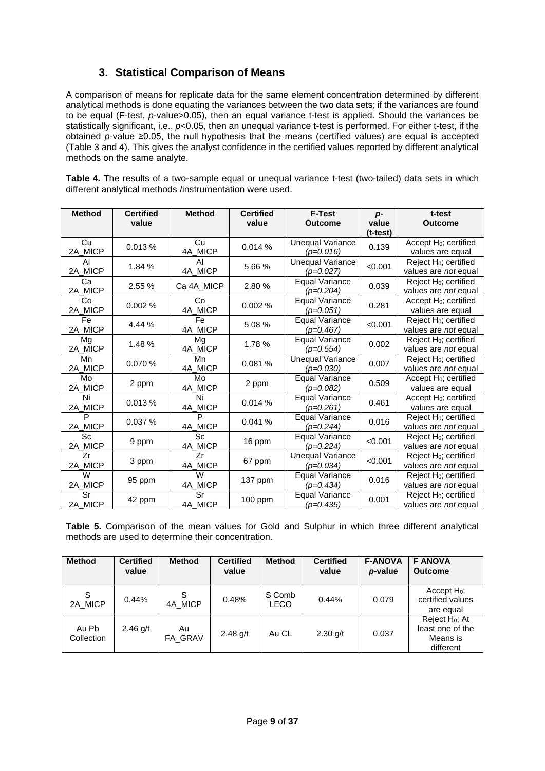## **3. Statistical Comparison of Means**

<span id="page-8-0"></span>A comparison of means for replicate data for the same element concentration determined by different analytical methods is done equating the variances between the two data sets; if the variances are found to be equal (F-test, *p*-value>0.05), then an equal variance t-test is applied. Should the variances be statistically significant, i.e., *p*<0.05, then an unequal variance t-test is performed. For either t-test, if the obtained *p*-value ≥0.05, the null hypothesis that the means (certified values) are equal is accepted (Table 3 and 4). This gives the analyst confidence in the certified values reported by different analytical methods on the same analyte.

<span id="page-8-1"></span>**Table 4.** The results of a two-sample equal or unequal variance t-test (two-tailed) data sets in which different analytical methods /instrumentation were used.

| <b>Method</b> | <b>Certified</b><br>value | <b>Method</b> | <b>Certified</b><br>value | <b>F-Test</b><br><b>Outcome</b>        | $p-$<br>value<br>$(t-test)$ | t-test<br><b>Outcome</b>                                  |
|---------------|---------------------------|---------------|---------------------------|----------------------------------------|-----------------------------|-----------------------------------------------------------|
| Cu<br>2A_MICP | 0.013%                    | Cu<br>4A_MICP | 0.014%                    | <b>Unequal Variance</b><br>$(p=0.016)$ | 0.139                       | Accept H <sub>0</sub> ; certified<br>values are equal     |
| AI<br>2A_MICP | 1.84 %                    | AI<br>4A_MICP | 5.66 %                    | <b>Unequal Variance</b><br>$(p=0.027)$ | < 0.001                     | Reject H <sub>0</sub> ; certified<br>values are not equal |
| Ca<br>2A_MICP | 2.55 %                    | Ca 4A_MICP    | 2.80 %                    | Equal Variance<br>$(p=0.204)$          | 0.039                       | Reject $H_0$ ; certified<br>values are not equal          |
| Co<br>2A_MICP | 0.002%                    | Co<br>4A_MICP | 0.002%                    | <b>Equal Variance</b><br>$(p=0.051)$   | 0.281                       | Accept H <sub>0</sub> ; certified<br>values are equal     |
| Fe<br>2A_MICP | 4.44 %                    | Fe<br>4A_MICP | 5.08 %                    | Equal Variance<br>(p=0.467)            | < 0.001                     | Reject H <sub>0</sub> ; certified<br>values are not equal |
| Mg<br>2A_MICP | 1.48%                     | Mg<br>4A_MICP | 1.78%                     | <b>Equal Variance</b><br>$(p=0.554)$   | 0.002                       | Reject H <sub>0</sub> ; certified<br>values are not equal |
| Mn<br>2A_MICP | 0.070%                    | Mn<br>4A_MICP | 0.081%                    | Unequal Variance<br>$(p=0.030)$        | 0.007                       | Reject $H_0$ ; certified<br>values are not equal          |
| Mo<br>2A_MICP | 2 ppm                     | Mo<br>4A_MICP | 2 ppm                     | <b>Equal Variance</b><br>$(p=0.082)$   | 0.509                       | Accept H <sub>0</sub> ; certified<br>values are equal     |
| Ni<br>2A_MICP | 0.013%                    | Ni<br>4A_MICP | 0.014 %                   | <b>Equal Variance</b><br>$(p=0.261)$   | 0.461                       | Accept $H_0$ ; certified<br>values are equal              |
| P<br>2A_MICP  | 0.037 %                   | P<br>4A_MICP  | 0.041%                    | Equal Variance<br>(p=0.244)            | 0.016                       | Reject H <sub>0</sub> ; certified<br>values are not equal |
| Sc<br>2A_MICP | 9 ppm                     | Sc<br>4A_MICP | 16 ppm                    | <b>Equal Variance</b><br>$(p=0.224)$   | < 0.001                     | Reject H <sub>0</sub> ; certified<br>values are not equal |
| 7r<br>2A_MICP | 3 ppm                     | 7r<br>4A_MICP | 67 ppm                    | <b>Unequal Variance</b><br>$(p=0.034)$ | < 0.001                     | Reject H <sub>0</sub> ; certified<br>values are not equal |
| W<br>2A_MICP  | 95 ppm                    | W<br>4A_MICP  | 137 ppm                   | <b>Equal Variance</b><br>$(p=0.434)$   | 0.016                       | Reject H <sub>0</sub> ; certified<br>values are not equal |
| Sr<br>2A_MICP | 42 ppm                    | Sr<br>4A_MICP | 100 ppm                   | <b>Equal Variance</b><br>(p=0.435)     | 0.001                       | Reject $H_0$ ; certified<br>values are not equal          |

<span id="page-8-2"></span>**Table 5.** Comparison of the mean values for Gold and Sulphur in which three different analytical methods are used to determine their concentration.

| <b>Method</b>       | <b>Certified</b><br>value | <b>Method</b>        | <b>Certified</b><br>value | <b>Method</b>  | <b>Certified</b><br>value | <b>F-ANOVA</b><br>p-value | <b>F ANOVA</b><br><b>Outcome</b>                                        |
|---------------------|---------------------------|----------------------|---------------------------|----------------|---------------------------|---------------------------|-------------------------------------------------------------------------|
| S<br>2A_MICP        | 0.44%                     | S<br>4A_MICP         | 0.48%                     | S Comb<br>LECO | 0.44%                     | 0.079                     | Accept $H_0$ ;<br>certified values<br>are equal                         |
| Au Pb<br>Collection | $2.46$ g/t                | Au<br><b>FA GRAV</b> | 2.48 $q/t$                | Au CL          | $2.30$ g/t                | 0.037                     | Reject H <sub>0</sub> ; At<br>least one of the<br>Means is<br>different |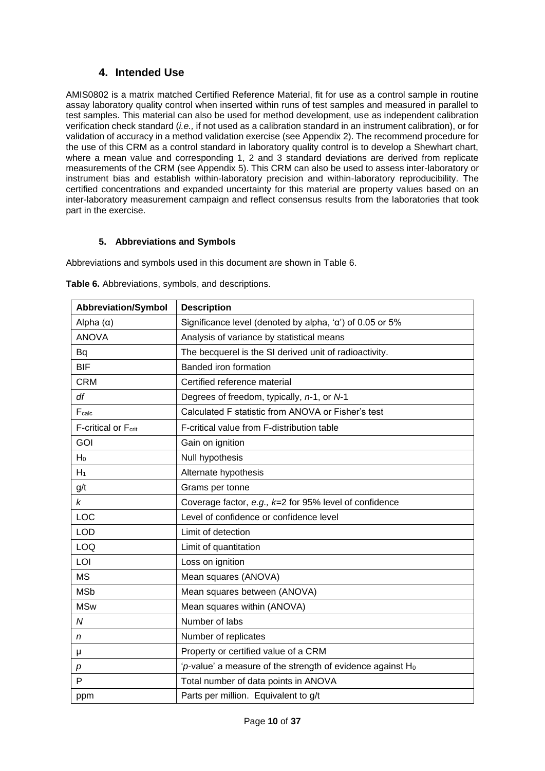## **4. Intended Use**

<span id="page-9-0"></span>AMIS0802 is a matrix matched Certified Reference Material, fit for use as a control sample in routine assay laboratory quality control when inserted within runs of test samples and measured in parallel to test samples. This material can also be used for method development, use as independent calibration verification check standard (*i.e.,* if not used as a calibration standard in an instrument calibration), or for validation of accuracy in a method validation exercise (se[e Appendix 2\)](#page-32-1). The recommend procedure for the use of this CRM as a control standard in laboratory quality control is to develop a Shewhart chart, where a mean value and corresponding 1, 2 and 3 standard deviations are derived from replicate measurements of the CRM (see [Appendix 5\)](#page-33-2). This CRM can also be used to assess inter-laboratory or instrument bias and establish within-laboratory precision and within-laboratory reproducibility. The certified concentrations and expanded uncertainty for this material are property values based on an inter-laboratory measurement campaign and reflect consensus results from the laboratories that took part in the exercise.

#### **5. Abbreviations and Symbols**

<span id="page-9-1"></span>Abbreviations and symbols used in this document are shown in [Table 6.](#page-9-2)

| <b>Abbreviation/Symbol</b> | <b>Description</b>                                                |
|----------------------------|-------------------------------------------------------------------|
| Alpha $(\alpha)$           | Significance level (denoted by alpha, ' $\alpha$ ') of 0.05 or 5% |
| <b>ANOVA</b>               | Analysis of variance by statistical means                         |
| Bq                         | The becquerel is the SI derived unit of radioactivity.            |
| <b>BIF</b>                 | Banded iron formation                                             |
| <b>CRM</b>                 | Certified reference material                                      |
| df                         | Degrees of freedom, typically, n-1, or N-1                        |
| $F_{calc}$                 | Calculated F statistic from ANOVA or Fisher's test                |
| F-critical or Fcrit        | F-critical value from F-distribution table                        |
| GOI                        | Gain on ignition                                                  |
| $H_0$                      | Null hypothesis                                                   |
| $H_1$                      | Alternate hypothesis                                              |
| g/t                        | Grams per tonne                                                   |
| k                          | Coverage factor, e.g., k=2 for 95% level of confidence            |
| LOC                        | Level of confidence or confidence level                           |
| <b>LOD</b>                 | Limit of detection                                                |
| LOQ                        | Limit of quantitation                                             |
| LOI                        | Loss on ignition                                                  |
| <b>MS</b>                  | Mean squares (ANOVA)                                              |
| <b>MSb</b>                 | Mean squares between (ANOVA)                                      |
| <b>MSw</b>                 | Mean squares within (ANOVA)                                       |
| $\boldsymbol{N}$           | Number of labs                                                    |
| n                          | Number of replicates                                              |
| μ                          | Property or certified value of a CRM                              |
| р                          | ' $p$ -value' a measure of the strength of evidence against $H_0$ |
| P                          | Total number of data points in ANOVA                              |
| ppm                        | Parts per million. Equivalent to g/t                              |

<span id="page-9-2"></span>**Table 6.** Abbreviations, symbols, and descriptions.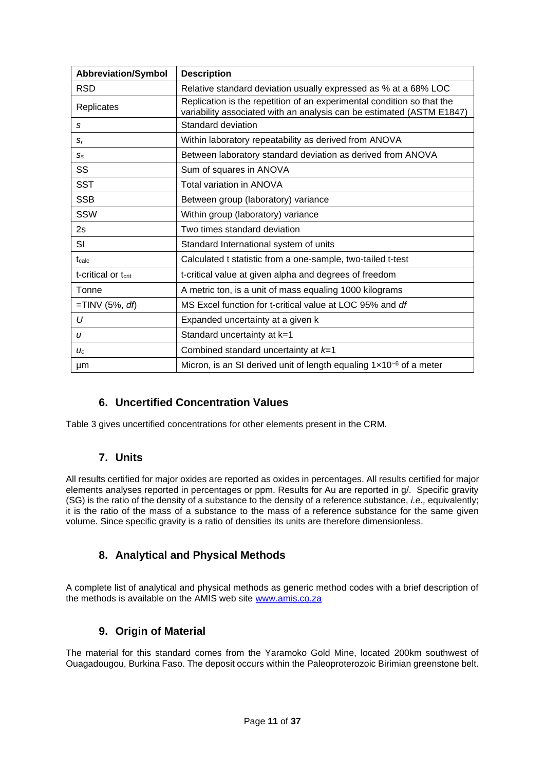| <b>Abbreviation/Symbol</b>      | <b>Description</b>                                                                                                                              |
|---------------------------------|-------------------------------------------------------------------------------------------------------------------------------------------------|
| <b>RSD</b>                      | Relative standard deviation usually expressed as % at a 68% LOC                                                                                 |
| Replicates                      | Replication is the repetition of an experimental condition so that the<br>variability associated with an analysis can be estimated (ASTM E1847) |
| S                               | Standard deviation                                                                                                                              |
| $S_r$                           | Within laboratory repeatability as derived from ANOVA                                                                                           |
| $S_{S}$                         | Between laboratory standard deviation as derived from ANOVA                                                                                     |
| SS                              | Sum of squares in ANOVA                                                                                                                         |
| <b>SST</b>                      | Total variation in ANOVA                                                                                                                        |
| <b>SSB</b>                      | Between group (laboratory) variance                                                                                                             |
| SSW                             | Within group (laboratory) variance                                                                                                              |
| 2s                              | Two times standard deviation                                                                                                                    |
| SI                              | Standard International system of units                                                                                                          |
| tcalc                           | Calculated t statistic from a one-sample, two-tailed t-test                                                                                     |
| t-critical or t <sub>crit</sub> | t-critical value at given alpha and degrees of freedom                                                                                          |
| Tonne                           | A metric ton, is a unit of mass equaling 1000 kilograms                                                                                         |
| $=$ TINV (5%, df)               | MS Excel function for t-critical value at LOC 95% and df                                                                                        |
| U                               | Expanded uncertainty at a given k                                                                                                               |
| u                               | Standard uncertainty at k=1                                                                                                                     |
| $U_c$                           | Combined standard uncertainty at $k=1$                                                                                                          |
| μm                              | Micron, is an SI derived unit of length equaling $1 \times 10^{-6}$ of a meter                                                                  |

## **6. Uncertified Concentration Values**

<span id="page-10-0"></span>Table 3 gives uncertified concentrations for other elements present in the CRM.

### **7. Units**

<span id="page-10-1"></span>All results certified for major oxides are reported as oxides in percentages. All results certified for major elements analyses reported in percentages or ppm. Results for Au are reported in g/. Specific gravity (SG) is the ratio of the density of a substance to the density of a reference substance, *i.e.,* equivalently; it is the ratio of the mass of a substance to the mass of a reference substance for the same given volume. Since specific gravity is a ratio of densities its units are therefore dimensionless.

### **8. Analytical and Physical Methods**

<span id="page-10-2"></span>A complete list of analytical and physical methods as generic method codes with a brief description of the methods is available on the AMIS web site [www.amis.co.za](http://www.amis.co.za/)

#### **9. Origin of Material**

<span id="page-10-3"></span>The material for this standard comes from the Yaramoko Gold Mine, located 200km southwest of Ouagadougou, Burkina Faso. The deposit occurs within the Paleoproterozoic Birimian greenstone belt.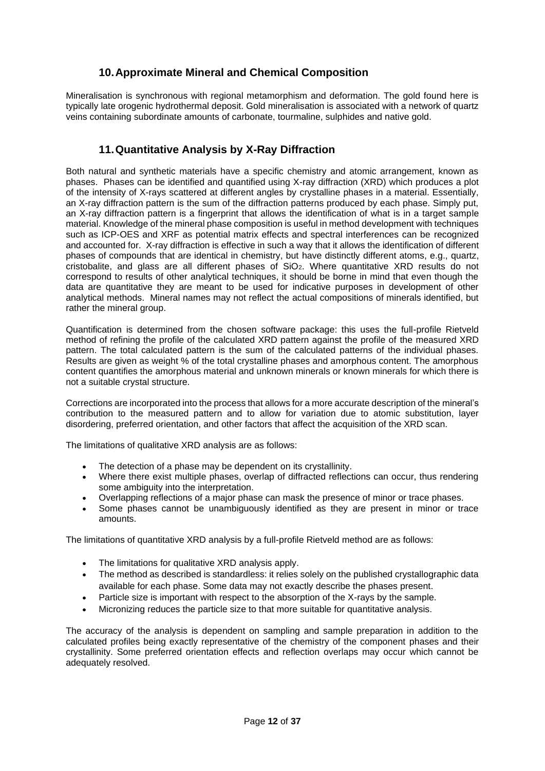## **10.Approximate Mineral and Chemical Composition**

<span id="page-11-0"></span>Mineralisation is synchronous with regional metamorphism and deformation. The gold found here is typically late orogenic hydrothermal deposit. Gold mineralisation is associated with a network of quartz veins containing subordinate amounts of carbonate, tourmaline, sulphides and native gold.

## **11.Quantitative Analysis by X-Ray Diffraction**

<span id="page-11-1"></span>Both natural and synthetic materials have a specific chemistry and atomic arrangement, known as phases. Phases can be identified and quantified using X-ray diffraction (XRD) which produces a plot of the intensity of X-rays scattered at different angles by crystalline phases in a material. Essentially, an X-ray diffraction pattern is the sum of the diffraction patterns produced by each phase. Simply put, an X-ray diffraction pattern is a fingerprint that allows the identification of what is in a target sample material. Knowledge of the mineral phase composition is useful in method development with techniques such as ICP-OES and XRF as potential matrix effects and spectral interferences can be recognized and accounted for. X-ray diffraction is effective in such a way that it allows the identification of different phases of compounds that are identical in chemistry, but have distinctly different atoms, e.g., quartz, cristobalite, and glass are all different phases of SiO2. Where quantitative XRD results do not correspond to results of other analytical techniques, it should be borne in mind that even though the data are quantitative they are meant to be used for indicative purposes in development of other analytical methods. Mineral names may not reflect the actual compositions of minerals identified, but rather the mineral group.

Quantification is determined from the chosen software package: this uses the full-profile Rietveld method of refining the profile of the calculated XRD pattern against the profile of the measured XRD pattern. The total calculated pattern is the sum of the calculated patterns of the individual phases. Results are given as weight % of the total crystalline phases and amorphous content. The amorphous content quantifies the amorphous material and unknown minerals or known minerals for which there is not a suitable crystal structure.

Corrections are incorporated into the process that allows for a more accurate description of the mineral's contribution to the measured pattern and to allow for variation due to atomic substitution, layer disordering, preferred orientation, and other factors that affect the acquisition of the XRD scan.

The limitations of qualitative XRD analysis are as follows:

- The detection of a phase may be dependent on its crystallinity.
- Where there exist multiple phases, overlap of diffracted reflections can occur, thus rendering some ambiguity into the interpretation.
- Overlapping reflections of a major phase can mask the presence of minor or trace phases.
- Some phases cannot be unambiguously identified as they are present in minor or trace amounts.

The limitations of quantitative XRD analysis by a full-profile Rietveld method are as follows:

- The limitations for qualitative XRD analysis apply.
- The method as described is standardless: it relies solely on the published crystallographic data available for each phase. Some data may not exactly describe the phases present.
- Particle size is important with respect to the absorption of the X-rays by the sample.
- Micronizing reduces the particle size to that more suitable for quantitative analysis.

The accuracy of the analysis is dependent on sampling and sample preparation in addition to the calculated profiles being exactly representative of the chemistry of the component phases and their crystallinity. Some preferred orientation effects and reflection overlaps may occur which cannot be adequately resolved.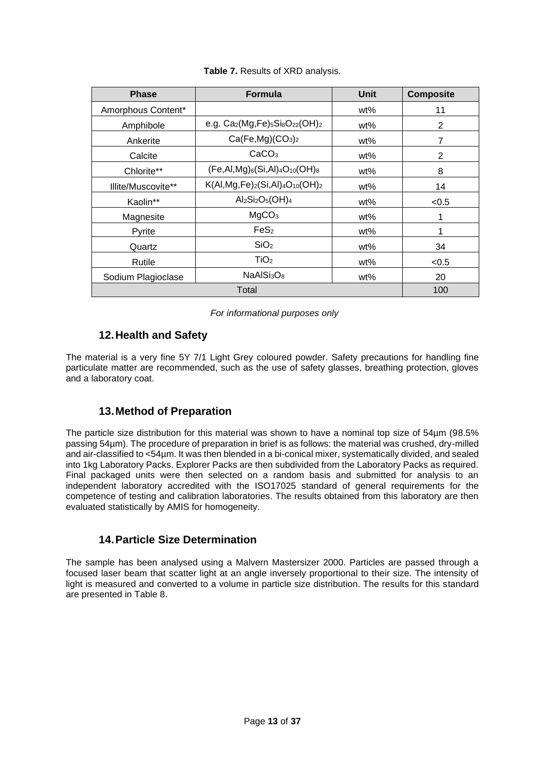<span id="page-12-3"></span>

| <b>Phase</b>       | <b>Formula</b>                               | Unit | <b>Composite</b> |
|--------------------|----------------------------------------------|------|------------------|
| Amorphous Content* |                                              | wt%  | 11               |
| Amphibole          | e.g. $Ca_2(Mg,Fe)_5Si_8O_{22}(OH)_2$         | wt%  | 2                |
| Ankerite           | $Ca(Fe, Mg)(CO3)2$                           | wt%  | 7                |
| Calcite            | CaCO <sub>3</sub>                            | wt%  | 2                |
| Chlorite**         | $(Fe, Al, Mg)_{6}(Si, Al)_{4}O_{10}(OH)_{8}$ | wt%  | 8                |
| Illite/Muscovite** | $K(AI, Mg, Fe)_2(SI, Al)_4O_{10}(OH)_2$      | wt%  | 14               |
| Kaolin**           | $Al_2Si_2O_5(OH)_4$                          | wt%  | < 0.5            |
| Magnesite          | MgCO <sub>3</sub>                            | wt%  |                  |
| Pyrite             | FeS <sub>2</sub>                             | wt%  |                  |
| Quartz             | SiO <sub>2</sub>                             | wt%  | 34               |
| Rutile             | TiO <sub>2</sub>                             | wt%  | < 0.5            |
| Sodium Plagioclase | NAAISi <sub>3</sub> O <sub>8</sub>           | wt%  | 20               |
|                    | 100                                          |      |                  |

**Table 7.** Results of XRD analysis.

 *For informational purposes only*

## **12.Health and Safety**

<span id="page-12-0"></span>The material is a very fine 5Y 7/1 Light Grey coloured powder. Safety precautions for handling fine particulate matter are recommended, such as the use of safety glasses, breathing protection, gloves and a laboratory coat.

### **13.Method of Preparation**

<span id="page-12-1"></span>The particle size distribution for this material was shown to have a nominal top size of 54µm (98.5% passing 54µm). The procedure of preparation in brief is as follows: the material was crushed, dry-milled and air-classified to <54µm. It was then blended in a bi-conical mixer, systematically divided, and sealed into 1kg Laboratory Packs. Explorer Packs are then subdivided from the Laboratory Packs as required. Final packaged units were then selected on a random basis and submitted for analysis to an independent laboratory accredited with the ISO17025 standard of general requirements for the competence of testing and calibration laboratories. The results obtained from this laboratory are then evaluated statistically by AMIS for homogeneity.

### **14.Particle Size Determination**

<span id="page-12-2"></span>The sample has been analysed using a Malvern Mastersizer 2000. Particles are passed through a focused laser beam that scatter light at an angle inversely proportional to their size. The intensity of light is measured and converted to a volume in particle size distribution. The results for this standard are presented in Table 8.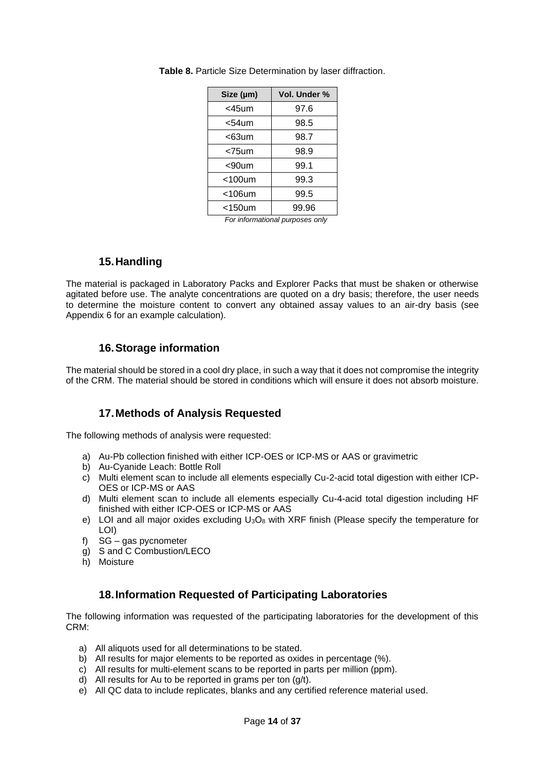| Size (µm)    | Vol. Under % |
|--------------|--------------|
| <45um        | 97.6         |
| <54um        | 98.5         |
| <63um        | 98.7         |
| <75um        | 98.9         |
| <90um        | 99.1         |
| $<$ 100 $um$ | 99.3         |
| $<$ 106 $um$ | 99.5         |
| $<$ 150 $um$ | 99.96        |

<span id="page-13-4"></span>**Table 8.** Particle Size Determination by laser diffraction.

 *For informational purposes only*

#### **15.Handling**

<span id="page-13-0"></span>The material is packaged in Laboratory Packs and Explorer Packs that must be shaken or otherwise agitated before use. The analyte concentrations are quoted on a dry basis; therefore, the user needs to determine the moisture content to convert any obtained assay values to an air-dry basis (see [Appendix 6](#page-34-0) for an example calculation).

### **16.Storage information**

<span id="page-13-1"></span>The material should be stored in a cool dry place, in such a way that it does not compromise the integrity of the CRM. The material should be stored in conditions which will ensure it does not absorb moisture.

## **17.Methods of Analysis Requested**

<span id="page-13-2"></span>The following methods of analysis were requested:

- a) Au-Pb collection finished with either ICP-OES or ICP-MS or AAS or gravimetric
- b) Au-Cyanide Leach: Bottle Roll
- c) Multi element scan to include all elements especially Cu-2-acid total digestion with either ICP-OES or ICP-MS or AAS
- d) Multi element scan to include all elements especially Cu-4-acid total digestion including HF finished with either ICP-OES or ICP-MS or AAS
- e) LOI and all major oxides excluding  $U_3O_8$  with XRF finish (Please specify the temperature for LOI)
- f) SG gas pycnometer
- g) S and C Combustion/LECO
- h) Moisture

### **18.Information Requested of Participating Laboratories**

<span id="page-13-3"></span>The following information was requested of the participating laboratories for the development of this CRM:

- a) All aliquots used for all determinations to be stated.
- b) All results for major elements to be reported as oxides in percentage (%).
- c) All results for multi-element scans to be reported in parts per million (ppm).
- d) All results for Au to be reported in grams per ton  $(q/t)$ .
- e) All QC data to include replicates, blanks and any certified reference material used.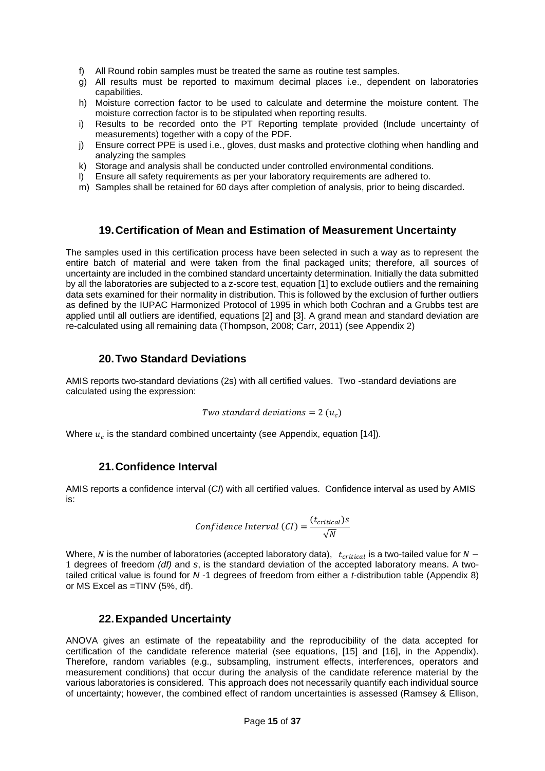- f) All Round robin samples must be treated the same as routine test samples.
- g) All results must be reported to maximum decimal places i.e., dependent on laboratories capabilities.
- h) Moisture correction factor to be used to calculate and determine the moisture content. The moisture correction factor is to be stipulated when reporting results.
- i) Results to be recorded onto the PT Reporting template provided (Include uncertainty of measurements) together with a copy of the PDF.
- j) Ensure correct PPE is used i.e., gloves, dust masks and protective clothing when handling and analyzing the samples
- k) Storage and analysis shall be conducted under controlled environmental conditions.
- l) Ensure all safety requirements as per your laboratory requirements are adhered to.
- m) Samples shall be retained for 60 days after completion of analysis, prior to being discarded.

#### **19.Certification of Mean and Estimation of Measurement Uncertainty**

<span id="page-14-0"></span>The samples used in this certification process have been selected in such a way as to represent the entire batch of material and were taken from the final packaged units; therefore, all sources of uncertainty are included in the combined standard uncertainty determination. Initially the data submitted by all the laboratories are subjected to a z-score test, equation [1] to exclude outliers and the remaining data sets examined for their normality in distribution. This is followed by the exclusion of further outliers as defined by the IUPAC Harmonized Protocol of 1995 in which both Cochran and a Grubbs test are applied until all outliers are identified, equations [2] and [3]. A grand mean and standard deviation are re-calculated using all remaining data (Thompson, 2008; Carr, 2011) (see Appendix 2)

#### **20.Two Standard Deviations**

<span id="page-14-1"></span>AMIS reports two-standard deviations (2s) with all certified values. Two -standard deviations are calculated using the expression:

Two standard deviations =  $2(u_c)$ 

Where  $u_c$  is the standard combined uncertainty (see Appendix, equation [14]).

#### **21.Confidence Interval**

<span id="page-14-2"></span>AMIS reports a confidence interval (*CI*) with all certified values. Confidence interval as used by AMIS is:

Confidence Interval (CI) = 
$$
\frac{(t_{critical})s}{\sqrt{N}}
$$

Where, N is the number of laboratories (accepted laboratory data),  $t_{critical}$  is a two-tailed value for  $N-$ 1 degrees of freedom *(df)* and *s*, is the standard deviation of the accepted laboratory means. A twotailed critical value is found for *N* -1 degrees of freedom from either a *t*-distribution table [\(Appendix 8\)](#page-36-2) or MS Excel as =TINV (5%, df).

#### **22.Expanded Uncertainty**

<span id="page-14-3"></span>ANOVA gives an estimate of the repeatability and the reproducibility of the data accepted for certification of the candidate reference material (see equations, [15] and [16], in the Appendix). Therefore, random variables (e.g., subsampling, instrument effects, interferences, operators and measurement conditions) that occur during the analysis of the candidate reference material by the various laboratories is considered. This approach does not necessarily quantify each individual source of uncertainty; however, the combined effect of random uncertainties is assessed (Ramsey & Ellison,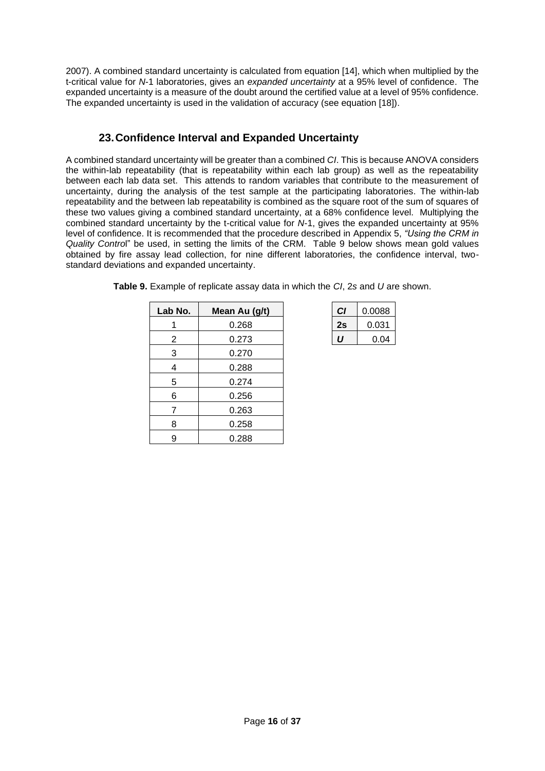2007). A combined standard uncertainty is calculated from equation [14], which when multiplied by the t-critical value for *N*-1 laboratories, gives an *expanded uncertainty* at a 95% level of confidence. The expanded uncertainty is a measure of the doubt around the certified value at a level of 95% confidence. The expanded uncertainty is used in the validation of accuracy (see equation [18]).

## **23.Confidence Interval and Expanded Uncertainty**

<span id="page-15-0"></span>A combined standard uncertainty will be greater than a combined *CI*. This is because ANOVA considers the within-lab repeatability (that is repeatability within each lab group) as well as the repeatability between each lab data set. This attends to random variables that contribute to the measurement of uncertainty, during the analysis of the test sample at the participating laboratories. The within-lab repeatability and the between lab repeatability is combined as the square root of the sum of squares of these two values giving a combined standard uncertainty, at a 68% confidence level. Multiplying the combined standard uncertainty by the t-critical value for *N*-1, gives the expanded uncertainty at 95% level of confidence. It is recommended that the procedure described in [Appendix 5,](#page-33-2) *"Using the CRM in Quality Contro*l" be used, in setting the limits of the CRM. [Table 9](#page-15-1) below shows mean gold values obtained by fire assay lead collection, for nine different laboratories, the confidence interval, twostandard deviations and expanded uncertainty.

| Lab No.               | Mean Au (g/t) | C1               | 0.0088 |
|-----------------------|---------------|------------------|--------|
| 1                     | 0.268         | 2s               | 0.031  |
| $\mathbf{2}^{\prime}$ | 0.273         | $\boldsymbol{U}$ | 0.04   |
| 3                     | 0.270         |                  |        |
| 4                     | 0.288         |                  |        |
| 5                     | 0.274         |                  |        |
| 6                     | 0.256         |                  |        |
| 7                     | 0.263         |                  |        |
| 8                     | 0.258         |                  |        |
| 9                     | 0.288         |                  |        |

<span id="page-15-1"></span>**Table 9.** Example of replicate assay data in which the *CI*, 2*s* and *U* are shown.

| СI | 0.0088 |
|----|--------|
| 2s | 0.031  |
|    | 0.04   |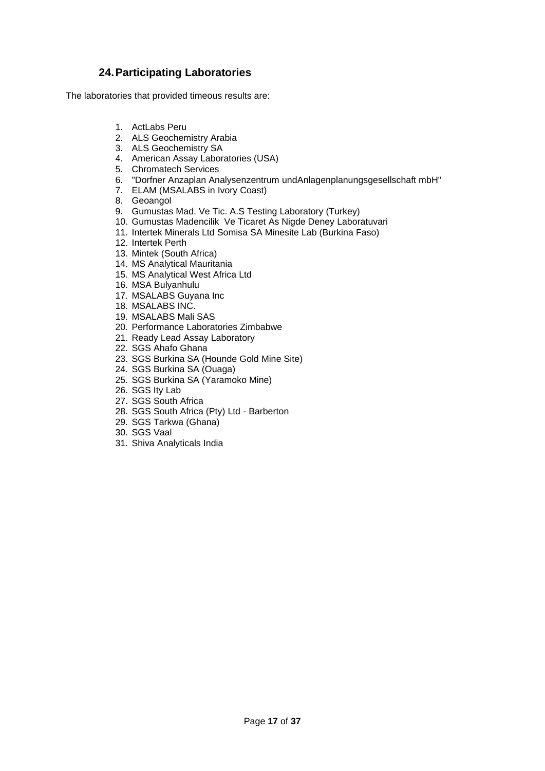## **24.Participating Laboratories**

<span id="page-16-0"></span>The laboratories that provided timeous results are:

- 1. ActLabs Peru
- 2. ALS Geochemistry Arabia
- 3. ALS Geochemistry SA
- 4. American Assay Laboratories (USA)
- 5. Chromatech Services
- 6. "Dorfner Anzaplan Analysenzentrum undAnlagenplanungsgesellschaft mbH"
- 7. ELAM (MSALABS in Ivory Coast)
- 8. Geoangol
- 9. Gumustas Mad. Ve Tic. A.S Testing Laboratory (Turkey)
- 10. Gumustas Madencilik Ve Ticaret As Nigde Deney Laboratuvari
- 11. Intertek Minerals Ltd Somisa SA Minesite Lab (Burkina Faso)
- 12. Intertek Perth
- 13. Mintek (South Africa)
- 14. MS Analytical Mauritania
- 15. MS Analytical West Africa Ltd
- 16. MSA Bulyanhulu
- 17. MSALABS Guyana Inc
- 18. MSALABS INC.
- 19. MSALABS Mali SAS
- 20. Performance Laboratories Zimbabwe
- 21. Ready Lead Assay Laboratory
- 22. SGS Ahafo Ghana
- 23. SGS Burkina SA (Hounde Gold Mine Site)
- 24. SGS Burkina SA (Ouaga)
- 25. SGS Burkina SA (Yaramoko Mine)
- 26. SGS Ity Lab
- 27. SGS South Africa
- 28. SGS South Africa (Pty) Ltd Barberton
- 29. SGS Tarkwa (Ghana)
- 30. SGS Vaal
- 31. Shiva Analyticals India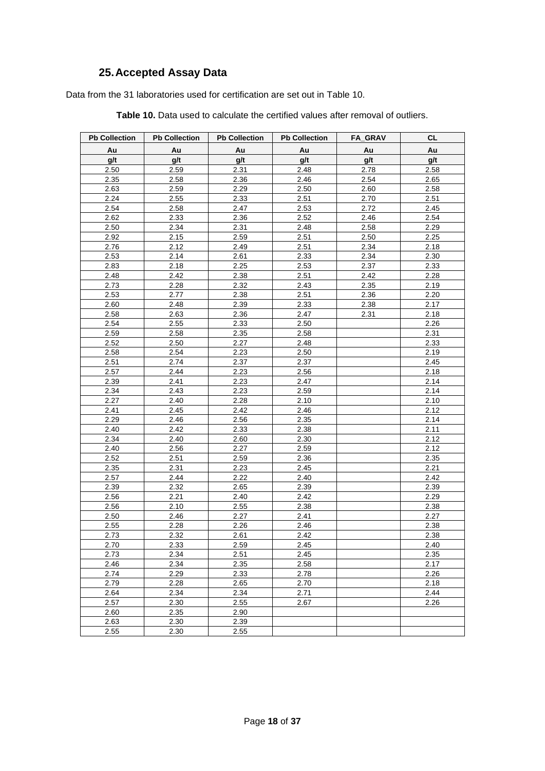## **25.Accepted Assay Data**

<span id="page-17-1"></span><span id="page-17-0"></span>Data from the 31 laboratories used for certification are set out in [Table 10.](#page-17-1)

| <b>Pb Collection</b> | <b>Pb Collection</b> | <b>Pb Collection</b> | <b>Pb Collection</b> | <b>FA GRAV</b> | <b>CL</b> |
|----------------------|----------------------|----------------------|----------------------|----------------|-----------|
| Au                   | Au                   | Au                   | Au                   | Au             | Au        |
| g/t                  | g/t                  | g/t                  | g/t                  | g/t            | g/t       |
| 2.50                 | 2.59                 | 2.31                 | 2.48                 | 2.78           | 2.58      |
| 2.35                 | 2.58                 | 2.36                 | 2.46                 | 2.54           | 2.65      |
| 2.63                 | 2.59                 | 2.29                 | 2.50                 | 2.60           | 2.58      |
| 2.24                 | 2.55                 | 2.33                 | 2.51                 | 2.70           | 2.51      |
| 2.54                 | 2.58                 | 2.47                 | 2.53                 | 2.72           | 2.45      |
| 2.62                 | 2.33                 | 2.36                 | 2.52                 | 2.46           | 2.54      |
| 2.50                 | 2.34                 | 2.31                 | 2.48                 | 2.58           | 2.29      |
| 2.92                 | 2.15                 | 2.59                 | 2.51                 | 2.50           | 2.25      |
| 2.76                 | 2.12                 | 2.49                 | 2.51                 | 2.34           | 2.18      |
| 2.53                 | 2.14                 | 2.61                 | 2.33                 | 2.34           | 2.30      |
| 2.83                 | 2.18                 | 2.25                 | 2.53                 | 2.37           | 2.33      |
| 2.48                 | 2.42                 | 2.38                 | 2.51                 | 2.42           | 2.28      |
| 2.73                 | 2.28                 | 2.32                 | 2.43                 | 2.35           | 2.19      |
| 2.53                 | 2.77                 | 2.38                 | 2.51                 | 2.36           | 2.20      |
| 2.60                 | 2.48                 | 2.39                 | 2.33                 | 2.38           | 2.17      |
| 2.58                 | 2.63                 | 2.36                 | 2.47                 | 2.31           | 2.18      |
| 2.54                 | 2.55                 | 2.33                 | 2.50                 |                | 2.26      |
| 2.59                 | 2.58                 | 2.35                 | 2.58                 |                | 2.31      |
| 2.52                 | 2.50                 | 2.27                 | 2.48                 |                | 2.33      |
| 2.58                 | 2.54                 | 2.23                 | 2.50                 |                | 2.19      |
| 2.51                 | 2.74                 | 2.37                 | 2.37                 |                | 2.45      |
| 2.57                 | 2.44                 | 2.23                 | 2.56                 |                | 2.18      |
| 2.39                 | 2.41                 | 2.23                 | 2.47                 |                | 2.14      |
| 2.34                 | 2.43                 | 2.23                 | 2.59                 |                | 2.14      |
| 2.27                 | 2.40                 | 2.28                 | 2.10                 |                | 2.10      |
| 2.41                 | 2.45                 | 2.42                 | 2.46                 |                | 2.12      |
| 2.29                 | 2.46                 | 2.56                 | 2.35                 |                | 2.14      |
| 2.40                 | 2.42                 | 2.33                 | 2.38                 |                | 2.11      |
| 2.34                 | 2.40                 | 2.60                 | 2.30                 |                | 2.12      |
| 2.40                 | 2.56                 | 2.27                 | 2.59                 |                | 2.12      |
| 2.52                 | 2.51                 | 2.59                 | 2.36                 |                | 2.35      |
| 2.35                 | 2.31                 | 2.23                 | 2.45                 |                | 2.21      |
| 2.57                 | 2.44                 | 2.22                 | 2.40                 |                | 2.42      |
| 2.39                 | 2.32                 | 2.65                 | 2.39                 |                | 2.39      |
| 2.56                 | 2.21                 | 2.40                 | 2.42                 |                | 2.29      |
| 2.56                 | 2.10                 | 2.55                 | 2.38                 |                | 2.38      |
| 2.50                 | 2.46                 | 2.27                 | 2.41                 |                | 2.27      |
| 2.55                 | 2.28                 | 2.26                 | 2.46                 |                | 2.38      |
| 2.73                 | 2.32                 | 2.61                 | 2.42                 |                | 2.38      |
| 2.70                 | 2.33                 | 2.59                 | 2.45                 |                | 2.40      |
| 2.73                 | 2.34                 | 2.51                 | 2.45                 |                | 2.35      |
| 2.46                 | 2.34                 | 2.35                 | 2.58                 |                | 2.17      |
| 2.74                 | 2.29                 | 2.33                 | 2.78                 |                | 2.26      |
| 2.79                 | 2.28                 | 2.65                 | 2.70                 |                | 2.18      |
| 2.64                 | 2.34                 | 2.34                 | 2.71                 |                | 2.44      |
| 2.57                 | 2.30                 | 2.55                 | 2.67                 |                | 2.26      |
| 2.60                 | 2.35                 | 2.90                 |                      |                |           |
| 2.63                 | 2.30                 | 2.39                 |                      |                |           |
| 2.55                 | 2.30                 | 2.55                 |                      |                |           |

**Table 10.** Data used to calculate the certified values after removal of outliers.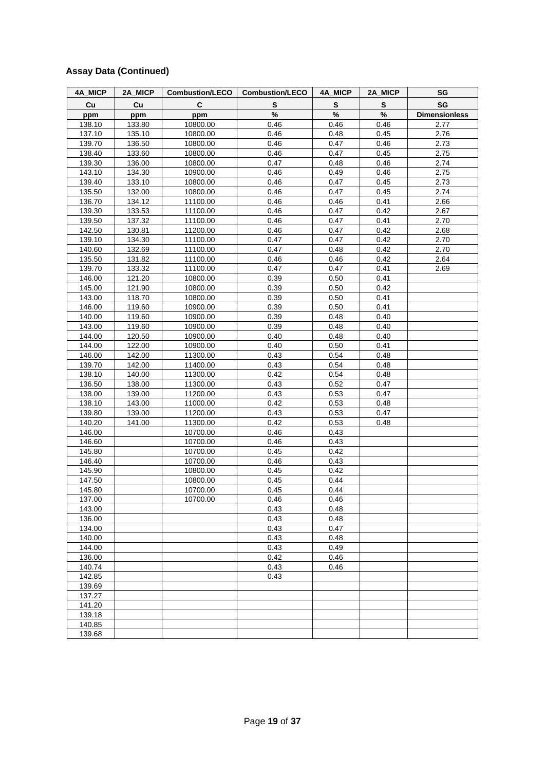| 4A_MICP          | 2A_MICP          | <b>Combustion/LECO</b> | <b>Combustion/LECO</b> | 4A_MICP      | 2A_MICP      | SG                   |
|------------------|------------------|------------------------|------------------------|--------------|--------------|----------------------|
| Cu               | Cu               | C                      | S                      | S            | S            | SG                   |
| ppm              | ppm              | ppm                    | $\%$                   | $\%$         | %            | <b>Dimensionless</b> |
| 138.10           | 133.80           | 10800.00               | 0.46                   | 0.46         | 0.46         | 2.77                 |
| 137.10           | 135.10           | 10800.00               | 0.46                   | 0.48         | 0.45         | 2.76                 |
| 139.70           | 136.50           | 10800.00               | 0.46                   | 0.47         | 0.46         | 2.73                 |
| 138.40           | 133.60           | 10800.00               | 0.46                   | 0.47         | 0.45         | 2.75                 |
| 139.30           | 136.00           | 10800.00               | 0.47                   | 0.48         | 0.46         | 2.74                 |
| 143.10           | 134.30           | 10900.00               | 0.46                   | 0.49         | 0.46         | 2.75                 |
| 139.40           | 133.10           | 10800.00               | 0.46                   | 0.47         | 0.45         | 2.73                 |
| 135.50           | 132.00           | 10800.00               | 0.46                   | 0.47         | 0.45         | 2.74                 |
| 136.70           | 134.12           | 11100.00               | 0.46                   | 0.46         | 0.41         | 2.66                 |
| 139.30           | 133.53           | 11100.00               | 0.46                   | 0.47         | 0.42         | 2.67                 |
| 139.50           | 137.32           | 11100.00               | 0.46                   | 0.47         | 0.41         | 2.70                 |
| 142.50           | 130.81           | 11200.00               | 0.46                   | 0.47         | 0.42         | 2.68                 |
| 139.10           | 134.30           | 11100.00               | 0.47                   | 0.47         | 0.42         | 2.70                 |
| 140.60           | 132.69           | 11100.00               | 0.47                   | 0.48         | 0.42         | 2.70                 |
| 135.50           | 131.82           | 11100.00               | 0.46                   | 0.46         | 0.42         | 2.64                 |
| 139.70           | 133.32           | 11100.00               | 0.47                   | 0.47         | 0.41         | 2.69                 |
| 146.00           | 121.20           | 10800.00               | 0.39                   | 0.50         | 0.41         |                      |
| 145.00           | 121.90           | 10800.00               | 0.39                   | 0.50         | 0.42         |                      |
| 143.00           | 118.70           | 10800.00               | 0.39                   | 0.50         | 0.41         |                      |
| 146.00           | 119.60           | 10900.00               | 0.39                   | 0.50         | 0.41         |                      |
| 140.00           | 119.60           | 10900.00               | 0.39                   | 0.48         | 0.40         |                      |
| 143.00           | 119.60           | 10900.00               | 0.39                   | 0.48         | 0.40         |                      |
| 144.00           | 120.50           | 10900.00               | 0.40                   | 0.48         | 0.40         |                      |
| 144.00           | 122.00           | 10900.00               | 0.40                   | 0.50         | 0.41         |                      |
| 146.00           | 142.00           | 11300.00               | 0.43                   | 0.54         | 0.48         |                      |
| 139.70           | 142.00           | 11400.00               | 0.43                   | 0.54         | 0.48         |                      |
| 138.10           | 140.00           | 11300.00               | 0.42                   | 0.54         | 0.48         |                      |
| 136.50           | 138.00           | 11300.00               | 0.43<br>0.43           | 0.52<br>0.53 | 0.47<br>0.47 |                      |
| 138.00<br>138.10 | 139.00<br>143.00 | 11200.00<br>11000.00   | 0.42                   | 0.53         | 0.48         |                      |
| 139.80           | 139.00           | 11200.00               | 0.43                   | 0.53         | 0.47         |                      |
| 140.20           | 141.00           | 11300.00               | 0.42                   | 0.53         | 0.48         |                      |
| 146.00           |                  | 10700.00               | 0.46                   | 0.43         |              |                      |
| 146.60           |                  | 10700.00               | 0.46                   | 0.43         |              |                      |
| 145.80           |                  | 10700.00               | 0.45                   | 0.42         |              |                      |
| 146.40           |                  | 10700.00               | 0.46                   | 0.43         |              |                      |
| 145.90           |                  | 10800.00               | 0.45                   | 0.42         |              |                      |
| 147.50           |                  | 10800.00               | 0.45                   | 0.44         |              |                      |
| 145.80           |                  | 10700.00               | 0.45                   | 0.44         |              |                      |
| 137.00           |                  | 10700.00               | 0.46                   | 0.46         |              |                      |
| 143.00           |                  |                        | 0.43                   | 0.48         |              |                      |
| 136.00           |                  |                        | 0.43                   | 0.48         |              |                      |
| 134.00           |                  |                        | 0.43                   | 0.47         |              |                      |
| 140.00           |                  |                        | 0.43                   | 0.48         |              |                      |
| 144.00           |                  |                        | 0.43                   | 0.49         |              |                      |
| 136.00           |                  |                        | 0.42                   | 0.46         |              |                      |
| 140.74           |                  |                        | 0.43                   | 0.46         |              |                      |
| 142.85           |                  |                        | 0.43                   |              |              |                      |
| 139.69           |                  |                        |                        |              |              |                      |
| 137.27           |                  |                        |                        |              |              |                      |
| 141.20           |                  |                        |                        |              |              |                      |
| 139.18           |                  |                        |                        |              |              |                      |
| 140.85           |                  |                        |                        |              |              |                      |
| 139.68           |                  |                        |                        |              |              |                      |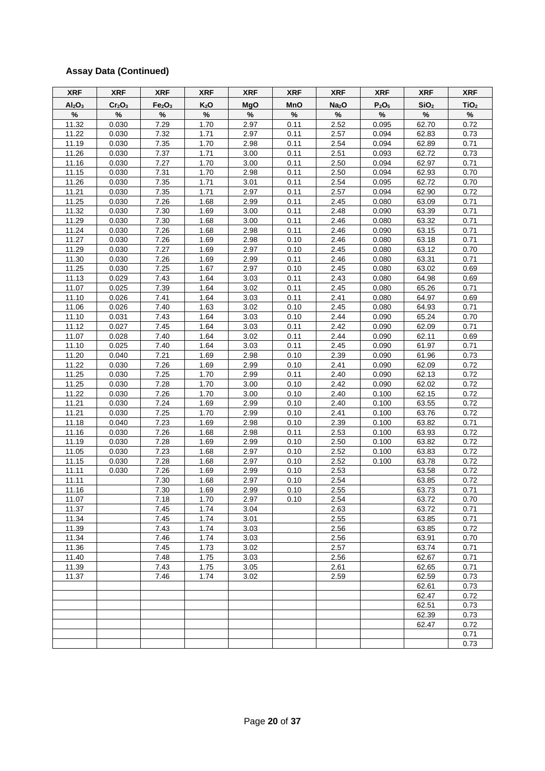| <b>XRF</b>                     | <b>XRF</b>                     | <b>XRF</b>                     | <b>XRF</b>   | <b>XRF</b>   | <b>XRF</b>   | <b>XRF</b>        | <b>XRF</b>     | <b>XRF</b>       | <b>XRF</b>       |
|--------------------------------|--------------------------------|--------------------------------|--------------|--------------|--------------|-------------------|----------------|------------------|------------------|
| Al <sub>2</sub> O <sub>3</sub> | Cr <sub>2</sub> O <sub>3</sub> | Fe <sub>2</sub> O <sub>3</sub> | $K_2O$       | <b>MgO</b>   | MnO          | Na <sub>2</sub> O | $P_2O_5$       | SiO <sub>2</sub> | TiO <sub>2</sub> |
| $\%$                           | %                              | $\%$                           | $\%$         | $\%$         | $\%$         | $\%$              | $\%$           | $\%$             | $\%$             |
| 11.32                          | 0.030                          | 7.29                           | 1.70         | 2.97         | 0.11         | 2.52              | 0.095          | 62.70            | 0.72             |
| 11.22                          | 0.030                          | 7.32                           | 1.71         | 2.97         | 0.11         | 2.57              | 0.094          | 62.83            | 0.73             |
| 11.19                          | 0.030                          | 7.35                           | 1.70         | 2.98         | 0.11         | 2.54              | 0.094          | 62.89            | 0.71             |
| 11.26                          | 0.030                          | 7.37                           | 1.71         | 3.00         | 0.11         | 2.51              | 0.093          | 62.72            | 0.73             |
| 11.16                          | 0.030                          | 7.27                           | 1.70         | 3.00         | 0.11         | 2.50              | 0.094          | 62.97            | 0.71             |
| 11.15                          | 0.030                          | 7.31                           | 1.70         | 2.98         | 0.11         | 2.50              | 0.094          | 62.93            | 0.70             |
| 11.26                          | 0.030                          | 7.35                           | 1.71         | 3.01         | 0.11         | 2.54              | 0.095          | 62.72            | 0.70             |
| 11.21                          | 0.030                          | 7.35                           | 1.71         | 2.97         | 0.11         | 2.57              | 0.094          | 62.90            | 0.72             |
| 11.25                          | 0.030                          | 7.26                           | 1.68         | 2.99         | 0.11         | 2.45              | 0.080          | 63.09            | 0.71             |
| 11.32                          | 0.030                          | 7.30                           | 1.69         | 3.00         | 0.11         | 2.48              | 0.090          | 63.39            | 0.71             |
| 11.29                          | 0.030                          | 7.30                           | 1.68         | 3.00         | 0.11         | 2.46              | 0.080          | 63.32            | 0.71             |
| 11.24                          | 0.030                          | 7.26                           | 1.68         | 2.98         | 0.11         | 2.46              | 0.090          | 63.15            | 0.71             |
| 11.27                          | 0.030                          | 7.26                           | 1.69         | 2.98         | 0.10         | 2.46              | 0.080          | 63.18            | 0.71<br>0.70     |
| 11.29                          | 0.030                          | 7.27                           | 1.69         | 2.97         | 0.10<br>0.11 | 2.45              | 0.080          | 63.12            |                  |
| 11.30<br>11.25                 | 0.030<br>0.030                 | 7.26<br>7.25                   | 1.69<br>1.67 | 2.99<br>2.97 | 0.10         | 2.46<br>2.45      | 0.080<br>0.080 | 63.31<br>63.02   | 0.71<br>0.69     |
| 11.13                          | 0.029                          | 7.43                           | 1.64         | 3.03         | 0.11         | 2.43              | 0.080          | 64.98            | 0.69             |
| 11.07                          | 0.025                          | 7.39                           | 1.64         | 3.02         | 0.11         | 2.45              | 0.080          | 65.26            | 0.71             |
| 11.10                          | 0.026                          | 7.41                           | 1.64         | 3.03         | 0.11         | 2.41              | 0.080          | 64.97            | 0.69             |
| 11.06                          | 0.026                          | 7.40                           | 1.63         | 3.02         | 0.10         | 2.45              | 0.080          | 64.93            | 0.71             |
| 11.10                          | 0.031                          | 7.43                           | 1.64         | 3.03         | 0.10         | 2.44              | 0.090          | 65.24            | 0.70             |
| 11.12                          | 0.027                          | 7.45                           | 1.64         | 3.03         | 0.11         | 2.42              | 0.090          | 62.09            | 0.71             |
| 11.07                          | 0.028                          | 7.40                           | 1.64         | 3.02         | 0.11         | 2.44              | 0.090          | 62.11            | 0.69             |
| 11.10                          | 0.025                          | 7.40                           | 1.64         | 3.03         | 0.11         | 2.45              | 0.090          | 61.97            | 0.71             |
| 11.20                          | 0.040                          | 7.21                           | 1.69         | 2.98         | 0.10         | 2.39              | 0.090          | 61.96            | 0.73             |
| 11.22                          | 0.030                          | 7.26                           | 1.69         | 2.99         | 0.10         | 2.41              | 0.090          | 62.09            | 0.72             |
| 11.25                          | 0.030                          | 7.25                           | 1.70         | 2.99         | 0.11         | 2.40              | 0.090          | 62.13            | 0.72             |
| 11.25                          | 0.030                          | 7.28                           | 1.70         | 3.00         | 0.10         | 2.42              | 0.090          | 62.02            | 0.72             |
| 11.22                          | 0.030                          | 7.26                           | 1.70         | 3.00         | 0.10         | 2.40              | 0.100          | 62.15            | 0.72             |
| 11.21                          | 0.030                          | 7.24                           | 1.69         | 2.99         | 0.10         | 2.40              | 0.100          | 63.55            | 0.72             |
| 11.21                          | 0.030                          | 7.25                           | 1.70         | 2.99         | 0.10         | 2.41              | 0.100          | 63.76            | 0.72             |
| 11.18                          | 0.040                          | 7.23                           | 1.69         | 2.98         | 0.10         | 2.39              | 0.100          | 63.82            | 0.71             |
| 11.16                          | 0.030                          | 7.26                           | 1.68         | 2.98         | 0.11         | 2.53              | 0.100          | 63.93            | 0.72             |
| 11.19                          | 0.030                          | 7.28                           | 1.69         | 2.99         | 0.10         | 2.50              | 0.100          | 63.82            | 0.72             |
| 11.05                          | 0.030                          | 7.23                           | 1.68         | 2.97         | 0.10         | 2.52              | 0.100          | 63.83            | 0.72             |
| 11.15                          | 0.030                          | 7.28                           | 1.68         | 2.97         | 0.10         | 2.52              | 0.100          | 63.78            | 0.72             |
| 11.11<br>11.11                 | 0.030                          | 7.26<br>7.30                   | 1.69<br>1.68 | 2.99<br>2.97 | 0.10<br>0.10 | 2.53<br>2.54      |                | 63.58<br>63.85   | 0.72<br>0.72     |
| 11.16                          |                                | 7.30                           | 1.69         | 2.99         | 0.10         | 2.55              |                | 63.73            | 0.71             |
| 11.07                          |                                | 7.18                           | 1.70         | 2.97         | 0.10         | 2.54              |                | 63.72            | 0.70             |
| 11.37                          |                                | 7.45                           | 1.74         | 3.04         |              | 2.63              |                | 63.72            | 0.71             |
| 11.34                          |                                | 7.45                           | 1.74         | 3.01         |              | 2.55              |                | 63.85            | 0.71             |
| 11.39                          |                                | 7.43                           | 1.74         | 3.03         |              | 2.56              |                | 63.85            | 0.72             |
| 11.34                          |                                | 7.46                           | 1.74         | 3.03         |              | 2.56              |                | 63.91            | 0.70             |
| 11.36                          |                                | 7.45                           | 1.73         | 3.02         |              | 2.57              |                | 63.74            | 0.71             |
| 11.40                          |                                | 7.48                           | 1.75         | 3.03         |              | 2.56              |                | 62.67            | 0.71             |
| 11.39                          |                                | 7.43                           | 1.75         | 3.05         |              | 2.61              |                | 62.65            | 0.71             |
| 11.37                          |                                | 7.46                           | 1.74         | 3.02         |              | 2.59              |                | 62.59            | 0.73             |
|                                |                                |                                |              |              |              |                   |                | 62.61            | 0.73             |
|                                |                                |                                |              |              |              |                   |                | 62.47            | 0.72             |
|                                |                                |                                |              |              |              |                   |                | 62.51            | 0.73             |
|                                |                                |                                |              |              |              |                   |                | 62.39            | 0.73             |
|                                |                                |                                |              |              |              |                   |                | 62.47            | 0.72             |
|                                |                                |                                |              |              |              |                   |                |                  | 0.71             |
|                                |                                |                                |              |              |              |                   |                |                  | 0.73             |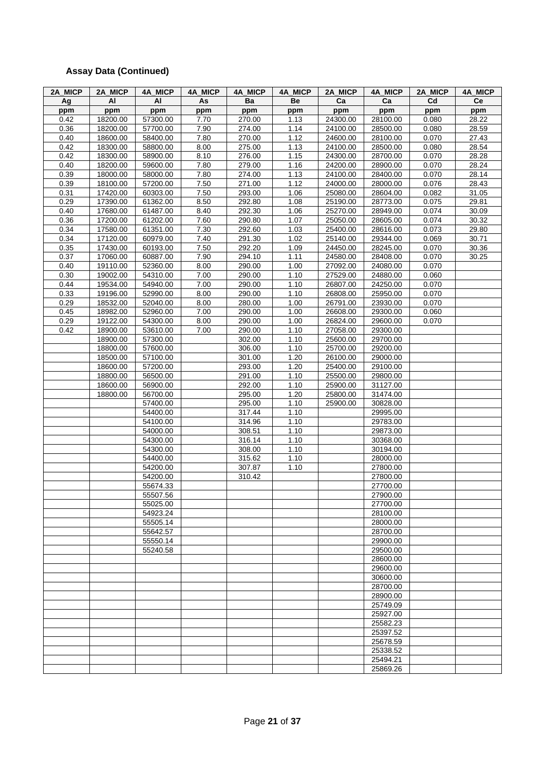| 2A MICP      | 2A MICP              | 4A MICP              | 4A MICP      | 4A MICP          | 4A MICP      | 2A MICP              | 4A MICP              | 2A MICP        | 4A MICP        |
|--------------|----------------------|----------------------|--------------|------------------|--------------|----------------------|----------------------|----------------|----------------|
| Ag           | AI                   | AI                   | As           | Ba               | Be           | Ca                   | Ca                   | Cd             | Ce             |
| ppm          | ppm                  | ppm                  | ppm          | ppm              | ppm          | ppm                  | ppm                  | ppm            | ppm            |
| 0.42         | 18200.00             | 57300.00             | 7.70         | 270.00           | 1.13         | 24300.00             | 28100.00             | 0.080          | 28.22          |
| 0.36         | 18200.00             | 57700.00             | 7.90         | 274.00           | 1.14         | 24100.00             | 28500.00             | 0.080          | 28.59          |
| 0.40         | 18600.00             | 58400.00             | 7.80         | 270.00           | 1.12         | 24600.00             | 28100.00             | 0.070          | 27.43          |
| 0.42         | 18300.00             | 58800.00             | 8.00         | 275.00           | 1.13         | 24100.00             | 28500.00             | 0.080          | 28.54          |
| 0.42         | 18300.00             | 58900.00             | 8.10         | 276.00           | 1.15         | 24300.00             | 28700.00             | 0.070          | 28.28          |
| 0.40         | 18200.00             | 59600.00<br>58000.00 | 7.80         | 279.00           | 1.16         | 24200.00<br>24100.00 | 28900.00<br>28400.00 | 0.070          | 28.24          |
| 0.39<br>0.39 | 18000.00<br>18100.00 | 57200.00             | 7.80<br>7.50 | 274.00<br>271.00 | 1.13<br>1.12 | 24000.00             | 28000.00             | 0.070<br>0.076 | 28.14<br>28.43 |
| 0.31         | 17420.00             | 60303.00             | 7.50         | 293.00           | 1.06         | 25080.00             | 28604.00             | 0.082          | 31.05          |
| 0.29         | 17390.00             | 61362.00             | 8.50         | 292.80           | 1.08         | 25190.00             | 28773.00             | 0.075          | 29.81          |
| 0.40         | 17680.00             | 61487.00             | 8.40         | 292.30           | 1.06         | 25270.00             | 28949.00             | 0.074          | 30.09          |
| 0.36         | 17200.00             | 61202.00             | 7.60         | 290.80           | 1.07         | 25050.00             | 28605.00             | 0.074          | 30.32          |
| 0.34         | 17580.00             | 61351.00             | 7.30         | 292.60           | 1.03         | 25400.00             | 28616.00             | 0.073          | 29.80          |
| 0.34         | 17120.00             | 60979.00             | 7.40         | 291.30           | 1.02         | 25140.00             | 29344.00             | 0.069          | 30.71          |
| 0.35         | 17430.00             | 60193.00             | 7.50         | 292.20           | 1.09         | 24450.00             | 28245.00             | 0.070          | 30.36          |
| 0.37         | 17060.00             | 60887.00             | 7.90         | 294.10           | 1.11         | 24580.00             | 28408.00             | 0.070          | 30.25          |
| 0.40         | 19110.00             | 52360.00             | 8.00         | 290.00           | 1.00         | 27092.00             | 24080.00             | 0.070          |                |
| 0.30         | 19002.00             | 54310.00             | 7.00         | 290.00           | 1.10         | 27529.00             | 24880.00             | 0.060          |                |
| 0.44         | 19534.00             | 54940.00             | 7.00         | 290.00           | 1.10         | 26807.00             | 24250.00             | 0.070          |                |
| 0.33         | 19196.00             | 52990.00             | 8.00         | 290.00           | 1.10         | 26808.00             | 25950.00             | 0.070          |                |
| 0.29         | 18532.00             | 52040.00<br>52960.00 | 8.00         | 280.00           | 1.00         | 26791.00             | 23930.00             | 0.070          |                |
| 0.45<br>0.29 | 18982.00             |                      | 7.00<br>8.00 | 290.00<br>290.00 | 1.00         | 26608.00             | 29300.00             | 0.060          |                |
| 0.42         | 19122.00<br>18900.00 | 54300.00<br>53610.00 | 7.00         | 290.00           | 1.00<br>1.10 | 26824.00<br>27058.00 | 29600.00<br>29300.00 | 0.070          |                |
|              | 18900.00             | 57300.00             |              | 302.00           | 1.10         | 25600.00             | 29700.00             |                |                |
|              | 18800.00             | 57600.00             |              | 306.00           | 1.10         | 25700.00             | 29200.00             |                |                |
|              | 18500.00             | 57100.00             |              | 301.00           | 1.20         | 26100.00             | 29000.00             |                |                |
|              | 18600.00             | 57200.00             |              | 293.00           | 1.20         | 25400.00             | 29100.00             |                |                |
|              | 18800.00             | 56500.00             |              | 291.00           | 1.10         | 25500.00             | 29800.00             |                |                |
|              | 18600.00             | 56900.00             |              | 292.00           | 1.10         | 25900.00             | 31127.00             |                |                |
|              | 18800.00             | 56700.00             |              | 295.00           | 1.20         | 25800.00             | 31474.00             |                |                |
|              |                      | 57400.00             |              | 295.00           | 1.10         | 25900.00             | 30828.00             |                |                |
|              |                      | 54400.00<br>54100.00 |              | 317.44           | 1.10<br>1.10 |                      | 29995.00             |                |                |
|              |                      | 54000.00             |              | 314.96<br>308.51 | 1.10         |                      | 29783.00<br>29873.00 |                |                |
|              |                      | 54300.00             |              | 316.14           | 1.10         |                      | 30368.00             |                |                |
|              |                      | 54300.00             |              | 308.00           | 1.10         |                      | 30194.00             |                |                |
|              |                      | 54400.00             |              | 315.62           | 1.10         |                      | 28000.00             |                |                |
|              |                      | 54200.00             |              | 307.87           | 1.10         |                      | 27800.00             |                |                |
|              |                      | 54200.00             |              | 310.42           |              |                      | 27800.00             |                |                |
|              |                      | 55674.33             |              |                  |              |                      | 27700.00             |                |                |
|              |                      | 55507.56             |              |                  |              |                      | 27900.00             |                |                |
|              |                      | 55025.00             |              |                  |              |                      | 27700.00             |                |                |
|              |                      | 54923.24             |              |                  |              |                      | 28100.00             |                |                |
|              |                      | 55505.14             |              |                  |              |                      | 28000.00             |                |                |
|              |                      | 55642.57<br>55550.14 |              |                  |              |                      | 28700.00<br>29900.00 |                |                |
|              |                      | 55240.58             |              |                  |              |                      | 29500.00             |                |                |
|              |                      |                      |              |                  |              |                      | 28600.00             |                |                |
|              |                      |                      |              |                  |              |                      | 29600.00             |                |                |
|              |                      |                      |              |                  |              |                      | 30600.00             |                |                |
|              |                      |                      |              |                  |              |                      | 28700.00             |                |                |
|              |                      |                      |              |                  |              |                      | 28900.00             |                |                |
|              |                      |                      |              |                  |              |                      | 25749.09             |                |                |
|              |                      |                      |              |                  |              |                      | 25927.00             |                |                |
|              |                      |                      |              |                  |              |                      | 25582.23             |                |                |
|              |                      |                      |              |                  |              |                      | 25397.52             |                |                |
|              |                      |                      |              |                  |              |                      | 25678.59<br>25338.52 |                |                |
|              |                      |                      |              |                  |              |                      | 25494.21             |                |                |
|              |                      |                      |              |                  |              |                      | 25869.26             |                |                |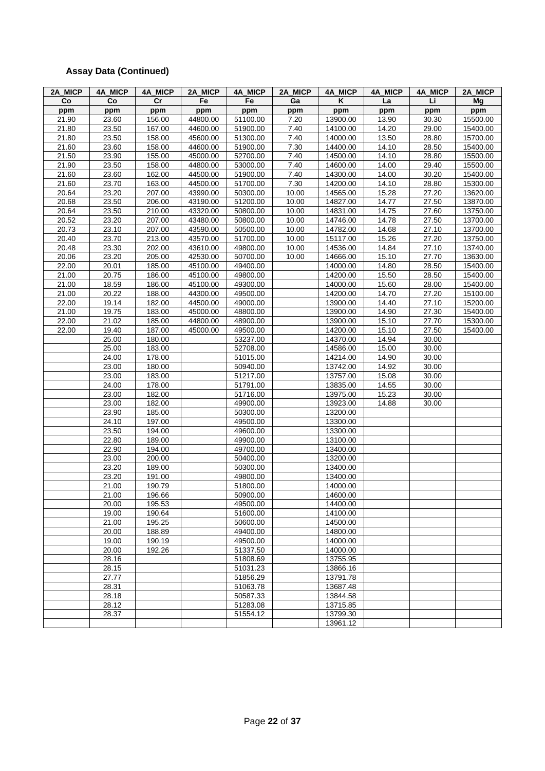| 2A_MICP | 4A_MICP        | 4A_MICP          | 2A_MICP  | 4A_MICP              | 2A_MICP | 4A_MICP              | 4A_MICP        | 4A_MICP            | 2A_MICP  |
|---------|----------------|------------------|----------|----------------------|---------|----------------------|----------------|--------------------|----------|
| Co      | Co             | Cr               | Fe       | Fe                   | Ga      | ĸ                    | La             | Li                 | Mg       |
| ppm     | ppm            | ppm              | ppm      | ppm                  | ppm     | ppm                  | ppm            | ppm                | ppm      |
| 21.90   | 23.60          | 156.00           | 44800.00 | 51100.00             | 7.20    | 13900.00             | 13.90          | 30.30              | 15500.00 |
| 21.80   | 23.50          | 167.00           | 44600.00 | 51900.00             | 7.40    | 14100.00             | 14.20          | 29.00              | 15400.00 |
| 21.80   | 23.50          | 158.00           | 45600.00 | 51300.00             | 7.40    | 14000.00             | 13.50          | 28.80              | 15700.00 |
| 21.60   | 23.60          | 158.00           | 44600.00 | 51900.00             | 7.30    | 14400.00             | 14.10          | 28.50              | 15400.00 |
| 21.50   | 23.90          | 155.00           | 45000.00 | 52700.00             | 7.40    | 14500.00             | 14.10          | 28.80              | 15500.00 |
| 21.90   | 23.50          | 158.00           | 44800.00 | 53000.00             | 7.40    | 14600.00             | 14.00          | 29.40              | 15500.00 |
| 21.60   | 23.60          | 162.00           | 44500.00 | 51900.00             | 7.40    | 14300.00             | 14.00          | 30.20              | 15400.00 |
| 21.60   | 23.70          | 163.00           | 44500.00 | 51700.00             | 7.30    | 14200.00             | 14.10          | 28.80              | 15300.00 |
| 20.64   | 23.20          | 207.00           | 43990.00 | 50300.00             | 10.00   | 14565.00             | 15.28          | $\overline{27.20}$ | 13620.00 |
| 20.68   | 23.50          | 206.00           | 43190.00 | 51200.00             | 10.00   | 14827.00             | 14.77          | 27.50              | 13870.00 |
| 20.64   | 23.50          | 210.00           | 43320.00 | 50800.00             | 10.00   | 14831.00             | 14.75          | 27.60              | 13750.00 |
| 20.52   | 23.20          | 207.00           | 43480.00 | 50800.00             | 10.00   | 14746.00             | 14.78          | 27.50              | 13700.00 |
| 20.73   | 23.10          | 207.00           | 43590.00 | 50500.00             | 10.00   | 14782.00             | 14.68          | 27.10              | 13700.00 |
| 20.40   | 23.70          | 213.00           | 43570.00 | 51700.00             | 10.00   | 15117.00             | 15.26          | 27.20              | 13750.00 |
| 20.48   | 23.30          | 202.00           | 43610.00 | 49800.00             | 10.00   | 14536.00             | 14.84          | 27.10              | 13740.00 |
| 20.06   | 23.20          | 205.00           | 42530.00 | 50700.00             | 10.00   | 14666.00             | 15.10          | 27.70              | 13630.00 |
| 22.00   | 20.01          | 185.00           | 45100.00 | 49400.00             |         | 14000.00             | 14.80          | 28.50              | 15400.00 |
| 21.00   | 20.75          | 186.00           | 45100.00 | 49800.00             |         | 14200.00             | 15.50          | 28.50              | 15400.00 |
| 21.00   | 18.59          | 186.00           | 45100.00 | 49300.00             |         | 14000.00             | 15.60          | 28.00              | 15400.00 |
| 21.00   | 20.22          | 188.00           | 44300.00 | 49500.00             |         | 14200.00             | 14.70          | 27.20              | 15100.00 |
| 22.00   | 19.14          | 182.00           | 44500.00 | 49000.00             |         | 13900.00             | 14.40          | 27.10              | 15200.00 |
| 21.00   | 19.75          | 183.00           | 45000.00 | 48800.00             |         | 13900.00             | 14.90          | 27.30              | 15400.00 |
| 22.00   | 21.02          | 185.00           | 44800.00 | 48900.00             |         | 13900.00             | 15.10          | 27.70              | 15300.00 |
| 22.00   | 19.40          | 187.00           | 45000.00 | 49500.00             |         | 14200.00             | 15.10          | 27.50              | 15400.00 |
|         | 25.00          | 180.00           |          | 53237.00             |         | 14370.00             | 14.94          | 30.00              |          |
|         | 25.00          | 183.00           |          | 52708.00             |         | 14586.00             | 15.00          | 30.00              |          |
|         | 24.00          | 178.00           |          | 51015.00             |         | 14214.00             | 14.90          | 30.00              |          |
|         | 23.00          | 180.00           |          | 50940.00             |         | 13742.00             | 14.92          | 30.00              |          |
|         | 23.00          | 183.00           |          | 51217.00             |         | 13757.00             | 15.08          | 30.00              |          |
|         | 24.00          | 178.00           |          | 51791.00             |         | 13835.00             | 14.55          | 30.00              |          |
|         | 23.00          | 182.00           |          | 51716.00             |         | 13975.00<br>13923.00 | 15.23<br>14.88 | 30.00              |          |
|         | 23.00<br>23.90 | 182.00<br>185.00 |          | 49900.00<br>50300.00 |         | 13200.00             |                | 30.00              |          |
|         | 24.10          | 197.00           |          | 49500.00             |         | 13300.00             |                |                    |          |
|         | 23.50          | 194.00           |          | 49600.00             |         | 13300.00             |                |                    |          |
|         | 22.80          | 189.00           |          | 49900.00             |         | 13100.00             |                |                    |          |
|         | 22.90          | 194.00           |          | 49700.00             |         | 13400.00             |                |                    |          |
|         | 23.00          | 200.00           |          | 50400.00             |         | 13200.00             |                |                    |          |
|         | 23.20          | 189.00           |          | 50300.00             |         | 13400.00             |                |                    |          |
|         | 23.20          | 191.00           |          | 49800.00             |         | 13400.00             |                |                    |          |
|         | 21.00          | 190.79           |          | 51800.00             |         | 14000.00             |                |                    |          |
|         | 21.00          | 196.66           |          | 50900.00             |         | 14600.00             |                |                    |          |
|         | 20.00          | 195.53           |          | 49500.00             |         | 14400.00             |                |                    |          |
|         | 19.00          | 190.64           |          | 51600.00             |         | 14100.00             |                |                    |          |
|         | 21.00          | 195.25           |          | 50600.00             |         | 14500.00             |                |                    |          |
|         | 20.00          | 188.89           |          | 49400.00             |         | 14800.00             |                |                    |          |
|         | 19.00          | 190.19           |          | 49500.00             |         | 14000.00             |                |                    |          |
|         | 20.00          | 192.26           |          | 51337.50             |         | 14000.00             |                |                    |          |
|         | 28.16          |                  |          | 51808.69             |         | 13755.95             |                |                    |          |
|         | 28.15          |                  |          | 51031.23             |         | 13866.16             |                |                    |          |
|         | 27.77          |                  |          | 51856.29             |         | 13791.78             |                |                    |          |
|         | 28.31          |                  |          | 51063.78             |         | 13687.48             |                |                    |          |
|         | 28.18          |                  |          | 50587.33             |         | 13844.58             |                |                    |          |
|         | 28.12          |                  |          | 51283.08             |         | 13715.85             |                |                    |          |
|         | 28.37          |                  |          | 51554.12             |         | 13799.30             |                |                    |          |
|         |                |                  |          |                      |         | 13961.12             |                |                    |          |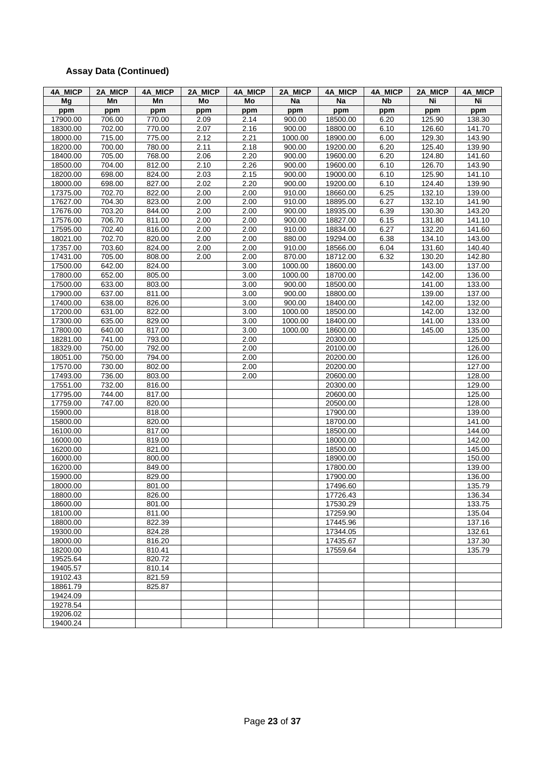| 4A MICP              | 2A MICP | 4A MICP          | 2A MICP | 4A MICP | 2A MICP | 4A MICP              | 4A MICP   | 2A MICP | 4A_MICP          |
|----------------------|---------|------------------|---------|---------|---------|----------------------|-----------|---------|------------------|
| Mq                   | Mn      | Mn               | Mo      | Mo      | Na      | Na                   | <b>Nb</b> | Ni      | Ni               |
| ppm                  | ppm     | ppm              | ppm     | ppm     | ppm     | ppm                  | ppm       | ppm     | ppm              |
| 17900.00             | 706.00  | 770.00           | 2.09    | 2.14    | 900.00  | 18500.00             | 6.20      | 125.90  | 138.30           |
| 18300.00             | 702.00  | 770.00           | 2.07    | 2.16    | 900.00  | 18800.00             | 6.10      | 126.60  | 141.70           |
| 18000.00             | 715.00  | 775.00           | 2.12    | 2.21    | 1000.00 | 18900.00             | 6.00      | 129.30  | 143.90           |
| 18200.00             | 700.00  | 780.00           | 2.11    | 2.18    | 900.00  | 19200.00             | 6.20      | 125.40  | 139.90           |
| 18400.00             | 705.00  | 768.00           | 2.06    | 2.20    | 900.00  | 19600.00             | 6.20      | 124.80  | 141.60           |
| 18500.00             | 704.00  | 812.00           | 2.10    | 2.26    | 900.00  | 19600.00             | 6.10      | 126.70  | 143.90           |
| 18200.00             | 698.00  | 824.00           | 2.03    | 2.15    | 900.00  | 19000.00             | 6.10      | 125.90  | 141.10           |
| 18000.00             | 698.00  | 827.00           | 2.02    | 2.20    | 900.00  | 19200.00             | 6.10      | 124.40  | 139.90           |
| 17375.00             | 702.70  | 822.00           | 2.00    | 2.00    | 910.00  | 18660.00             | 6.25      | 132.10  | 139.00           |
| 17627.00             | 704.30  | 823.00           | 2.00    | 2.00    | 910.00  | 18895.00             | 6.27      | 132.10  | 141.90           |
| 17676.00             | 703.20  | 844.00           | 2.00    | 2.00    | 900.00  | 18935.00             | 6.39      | 130.30  | 143.20           |
| 17576.00             | 706.70  | 811.00           | 2.00    | 2.00    | 900.00  | 18827.00             | 6.15      | 131.80  | 141.10           |
| 17595.00             | 702.40  | 816.00           | 2.00    | 2.00    | 910.00  | 18834.00             | 6.27      | 132.20  | 141.60           |
| 18021.00             | 702.70  | 820.00           | 2.00    | 2.00    | 880.00  | 19294.00             | 6.38      | 134.10  | 143.00           |
| 17357.00             | 703.60  | 824.00           | 2.00    | 2.00    | 910.00  | 18566.00             | 6.04      | 131.60  | 140.40           |
| 17431.00             | 705.00  | 808.00           | 2.00    | 2.00    | 870.00  | 18712.00             | 6.32      | 130.20  | 142.80           |
| 17500.00             | 642.00  | 824.00           |         | 3.00    | 1000.00 | 18600.00             |           | 143.00  | 137.00           |
| 17800.00             | 652.00  | 805.00           |         | 3.00    | 1000.00 | 18700.00             |           | 142.00  | 136.00           |
| 17500.00             | 633.00  | 803.00           |         | 3.00    | 900.00  | 18500.00             |           | 141.00  | 133.00           |
| 17900.00             | 637.00  | 811.00           |         | 3.00    | 900.00  | 18800.00             |           | 139.00  | 137.00           |
| 17400.00             | 638.00  | 826.00           |         | 3.00    | 900.00  | 18400.00             |           | 142.00  | 132.00           |
| 17200.00             | 631.00  | 822.00           |         | 3.00    | 1000.00 | 18500.00             |           | 142.00  | 132.00           |
| 17300.00             | 635.00  | 829.00           |         | 3.00    | 1000.00 | 18400.00             |           | 141.00  | 133.00           |
| 17800.00             | 640.00  | 817.00           |         | 3.00    | 1000.00 | 18600.00             |           | 145.00  | 135.00           |
| 18281.00             | 741.00  | 793.00           |         | 2.00    |         | 20300.00             |           |         | 125.00           |
| 18329.00             | 750.00  | 792.00           |         | 2.00    |         | 20100.00             |           |         | 126.00           |
| 18051.00             | 750.00  | 794.00           |         | 2.00    |         | 20200.00             |           |         | 126.00           |
| 17570.00             | 730.00  | 802.00           |         | 2.00    |         | 20200.00             |           |         | 127.00           |
| 17493.00             | 736.00  | 803.00           |         | 2.00    |         | 20600.00             |           |         | 128.00           |
| 17551.00             | 732.00  | 816.00           |         |         |         | 20300.00             |           |         | 129.00           |
| 17795.00             | 744.00  | 817.00           |         |         |         | 20600.00             |           |         | 125.00           |
| 17759.00             | 747.00  | 820.00           |         |         |         | 20500.00             |           |         | 128.00           |
| 15900.00             |         | 818.00           |         |         |         | 17900.00             |           |         | 139.00           |
| 15800.00             |         | 820.00           |         |         |         | 18700.00             |           |         | 141.00           |
| 16100.00             |         | 817.00           |         |         |         | 18500.00             |           |         | 144.00           |
| 16000.00<br>16200.00 |         | 819.00           |         |         |         | 18000.00             |           |         | 142.00           |
|                      |         | 821.00           |         |         |         | 18500.00             |           |         | 145.00           |
| 16000.00<br>16200.00 |         | 800.00<br>849.00 |         |         |         | 18900.00<br>17800.00 |           |         | 150.00<br>139.00 |
| 15900.00             |         | 829.00           |         |         |         | 17900.00             |           |         | 136.00           |
| 18000.00             |         | 801.00           |         |         |         | 17496.60             |           |         | 135.79           |
| 18800.00             |         | 826.00           |         |         |         | 17726.43             |           |         | 136.34           |
| 18600.00             |         | 801.00           |         |         |         | 17530.29             |           |         | 133.75           |
| 18100.00             |         | 811.00           |         |         |         | 17259.90             |           |         | 135.04           |
| 18800.00             |         | 822.39           |         |         |         | 17445.96             |           |         | 137.16           |
| 19300.00             |         | 824.28           |         |         |         | 17344.05             |           |         | 132.61           |
| 18000.00             |         | 816.20           |         |         |         | 17435.67             |           |         | 137.30           |
| 18200.00             |         | 810.41           |         |         |         | 17559.64             |           |         | 135.79           |
| 19525.64             |         | 820.72           |         |         |         |                      |           |         |                  |
| 19405.57             |         | 810.14           |         |         |         |                      |           |         |                  |
| 19102.43             |         | 821.59           |         |         |         |                      |           |         |                  |
| 18861.79             |         | 825.87           |         |         |         |                      |           |         |                  |
| 19424.09             |         |                  |         |         |         |                      |           |         |                  |
| 19278.54             |         |                  |         |         |         |                      |           |         |                  |
| 19206.02             |         |                  |         |         |         |                      |           |         |                  |
| 19400.24             |         |                  |         |         |         |                      |           |         |                  |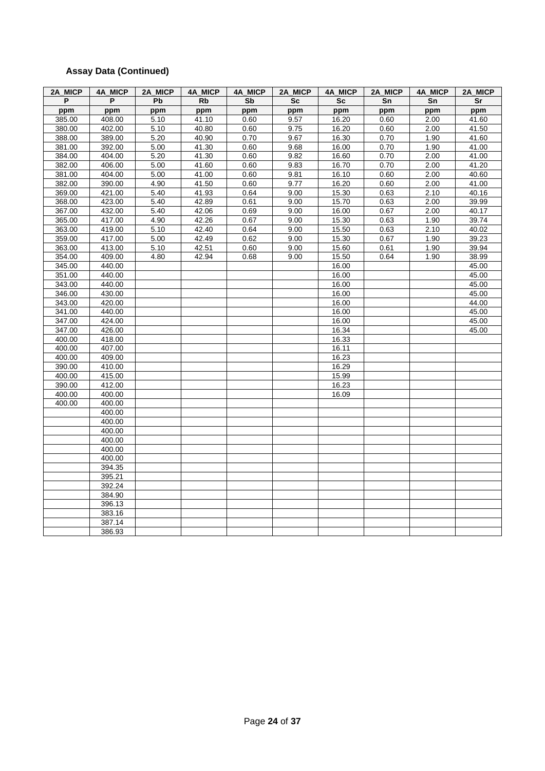| 2A MICP | 4A MICP | 2A MICP | 4A MICP   | 4A MICP | 2A MICP   | 4A MICP | 2A MICP | <b>4A MICP</b> | 2A MICP |
|---------|---------|---------|-----------|---------|-----------|---------|---------|----------------|---------|
| P       | P       | Pb      | <b>Rb</b> | Sb      | <b>Sc</b> | Sc      | Sn      | Sn             | Sr      |
| ppm     | ppm     | ppm     | ppm       | ppm     | ppm       | ppm     | ppm     | ppm            | ppm     |
| 385.00  | 408.00  | 5.10    | 41.10     | 0.60    | 9.57      | 16.20   | 0.60    | 2.00           | 41.60   |
| 380.00  | 402.00  | 5.10    | 40.80     | 0.60    | 9.75      | 16.20   | 0.60    | 2.00           | 41.50   |
| 388.00  | 389.00  | 5.20    | 40.90     | 0.70    | 9.67      | 16.30   | 0.70    | 1.90           | 41.60   |
| 381.00  | 392.00  | 5.00    | 41.30     | 0.60    | 9.68      | 16.00   | 0.70    | 1.90           | 41.00   |
| 384.00  | 404.00  | 5.20    | 41.30     | 0.60    | 9.82      | 16.60   | 0.70    | 2.00           | 41.00   |
| 382.00  | 406.00  | 5.00    | 41.60     | 0.60    | 9.83      | 16.70   | 0.70    | 2.00           | 41.20   |
| 381.00  | 404.00  | 5.00    | 41.00     | 0.60    | 9.81      | 16.10   | 0.60    | 2.00           | 40.60   |
| 382.00  | 390.00  | 4.90    | 41.50     | 0.60    | 9.77      | 16.20   | 0.60    | 2.00           | 41.00   |
| 369.00  | 421.00  | 5.40    | 41.93     | 0.64    | 9.00      | 15.30   | 0.63    | 2.10           | 40.16   |
| 368.00  | 423.00  | 5.40    | 42.89     | 0.61    | 9.00      | 15.70   | 0.63    | 2.00           | 39.99   |
| 367.00  | 432.00  | 5.40    | 42.06     | 0.69    | 9.00      | 16.00   | 0.67    | 2.00           | 40.17   |
| 365.00  | 417.00  | 4.90    | 42.26     | 0.67    | 9.00      | 15.30   | 0.63    | 1.90           | 39.74   |
| 363.00  | 419.00  | 5.10    | 42.40     | 0.64    | 9.00      | 15.50   | 0.63    | 2.10           | 40.02   |
| 359.00  | 417.00  | 5.00    | 42.49     | 0.62    | 9.00      | 15.30   | 0.67    | 1.90           | 39.23   |
| 363.00  | 413.00  | 5.10    | 42.51     | 0.60    | 9.00      | 15.60   | 0.61    | 1.90           | 39.94   |
| 354.00  | 409.00  | 4.80    | 42.94     | 0.68    | 9.00      | 15.50   | 0.64    | 1.90           | 38.99   |
| 345.00  | 440.00  |         |           |         |           | 16.00   |         |                | 45.00   |
| 351.00  | 440.00  |         |           |         |           | 16.00   |         |                | 45.00   |
| 343.00  | 440.00  |         |           |         |           | 16.00   |         |                | 45.00   |
| 346.00  | 430.00  |         |           |         |           | 16.00   |         |                | 45.00   |
| 343.00  | 420.00  |         |           |         |           | 16.00   |         |                | 44.00   |
| 341.00  | 440.00  |         |           |         |           | 16.00   |         |                | 45.00   |
| 347.00  | 424.00  |         |           |         |           | 16.00   |         |                | 45.00   |
| 347.00  | 426.00  |         |           |         |           | 16.34   |         |                | 45.00   |
| 400.00  | 418.00  |         |           |         |           | 16.33   |         |                |         |
| 400.00  | 407.00  |         |           |         |           | 16.11   |         |                |         |
| 400.00  | 409.00  |         |           |         |           | 16.23   |         |                |         |
| 390.00  | 410.00  |         |           |         |           | 16.29   |         |                |         |
| 400.00  | 415.00  |         |           |         |           | 15.99   |         |                |         |
| 390.00  | 412.00  |         |           |         |           | 16.23   |         |                |         |
| 400.00  | 400.00  |         |           |         |           | 16.09   |         |                |         |
| 400.00  | 400.00  |         |           |         |           |         |         |                |         |
|         | 400.00  |         |           |         |           |         |         |                |         |
|         | 400.00  |         |           |         |           |         |         |                |         |
|         | 400.00  |         |           |         |           |         |         |                |         |
|         | 400.00  |         |           |         |           |         |         |                |         |
|         | 400.00  |         |           |         |           |         |         |                |         |
|         | 400.00  |         |           |         |           |         |         |                |         |
|         | 394.35  |         |           |         |           |         |         |                |         |
|         | 395.21  |         |           |         |           |         |         |                |         |
|         | 392.24  |         |           |         |           |         |         |                |         |
|         | 384.90  |         |           |         |           |         |         |                |         |
|         | 396.13  |         |           |         |           |         |         |                |         |
|         | 383.16  |         |           |         |           |         |         |                |         |
|         | 387.14  |         |           |         |           |         |         |                |         |
|         | 386.93  |         |           |         |           |         |         |                |         |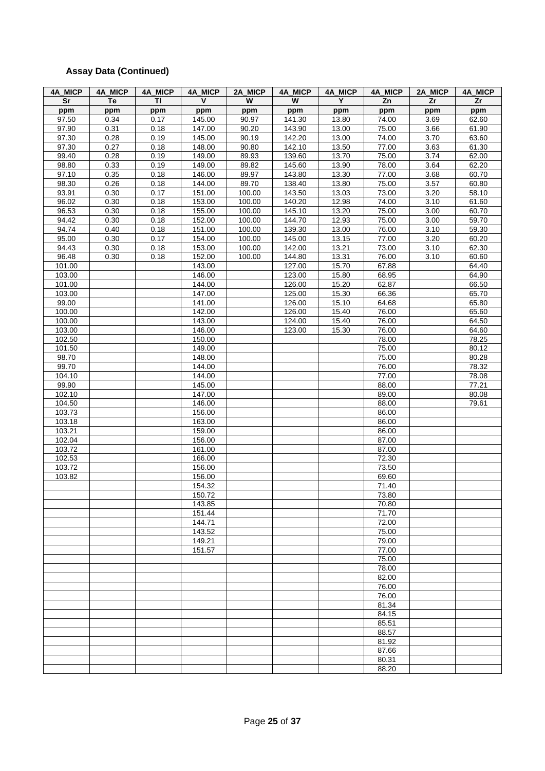| 4A MICP         | 4A MICP      | 4A MICP      | 4A MICP          | 2A MICP          | 4A MICP          | 4A MICP        | 4A MICP        | 2A MICP      | 4A MICP        |
|-----------------|--------------|--------------|------------------|------------------|------------------|----------------|----------------|--------------|----------------|
| Sr              | Te           | <b>TI</b>    | V                | W                | W                | Y              | Zn             | Zr           | Zr             |
| ppm             | ppm          | ppm          | ppm              | ppm              | ppm              | ppm            | ppm            | ppm          | ppm            |
| 97.50           | 0.34         | 0.17         | 145.00           | 90.97            | 141.30           | 13.80          | 74.00          | 3.69         | 62.60          |
| 97.90           | 0.31         | 0.18         | 147.00           | 90.20            | 143.90           | 13.00          | 75.00          | 3.66         | 61.90          |
| 97.30           | 0.28         | 0.19         | 145.00           | 90.19            | 142.20           | 13.00          | 74.00          | 3.70         | 63.60          |
| 97.30           | 0.27         | 0.18         | 148.00           | 90.80            | 142.10           | 13.50          | 77.00          | 3.63         | 61.30          |
| 99.40           | 0.28         | 0.19         | 149.00           | 89.93            | 139.60           | 13.70          | 75.00          | 3.74         | 62.00          |
| 98.80           | 0.33         | 0.19         | 149.00           | 89.82            | 145.60           | 13.90          | 78.00          | 3.64         | 62.20          |
| 97.10           | 0.35         | 0.18         | 146.00           | 89.97            | 143.80           | 13.30          | 77.00          | 3.68         | 60.70          |
| 98.30           | 0.26         | 0.18         | 144.00           | 89.70            | 138.40           | 13.80          | 75.00          | 3.57         | 60.80          |
| 93.91<br>96.02  | 0.30<br>0.30 | 0.17<br>0.18 | 151.00<br>153.00 | 100.00<br>100.00 | 143.50<br>140.20 | 13.03<br>12.98 | 73.00<br>74.00 | 3.20<br>3.10 | 58.10<br>61.60 |
| 96.53           | 0.30         | 0.18         | 155.00           | 100.00           | 145.10           | 13.20          | 75.00          | 3.00         | 60.70          |
| 94.42           | 0.30         | 0.18         | 152.00           | 100.00           | 144.70           | 12.93          | 75.00          | 3.00         | 59.70          |
| 94.74           | 0.40         | 0.18         | 151.00           | 100.00           | 139.30           | 13.00          | 76.00          | 3.10         | 59.30          |
| 95.00           | 0.30         | 0.17         | 154.00           | 100.00           | 145.00           | 13.15          | 77.00          | 3.20         | 60.20          |
| 94.43           | 0.30         | 0.18         | 153.00           | 100.00           | 142.00           | 13.21          | 73.00          | 3.10         | 62.30          |
| 96.48           | 0.30         | 0.18         | 152.00           | 100.00           | 144.80           | 13.31          | 76.00          | 3.10         | 60.60          |
| 101.00          |              |              | 143.00           |                  | 127.00           | 15.70          | 67.88          |              | 64.40          |
| 103.00          |              |              | 146.00           |                  | 123.00           | 15.80          | 68.95          |              | 64.90          |
| 101.00          |              |              | 144.00           |                  | 126.00           | 15.20          | 62.87          |              | 66.50          |
| 103.00          |              |              | 147.00           |                  | 125.00           | 15.30          | 66.36          |              | 65.70          |
| 99.00           |              |              | 141.00           |                  | 126.00           | 15.10          | 64.68          |              | 65.80          |
| 100.00          |              |              | 142.00           |                  | 126.00           | 15.40          | 76.00          |              | 65.60          |
| 100.00          |              |              | 143.00           |                  | 124.00           | 15.40          | 76.00          |              | 64.50          |
| 103.00          |              |              | 146.00           |                  | 123.00           | 15.30          | 76.00          |              | 64.60          |
| 102.50          |              |              | 150.00           |                  |                  |                | 78.00          |              | 78.25          |
| 101.50          |              |              | 149.00           |                  |                  |                | 75.00          |              | 80.12          |
| 98.70           |              |              | 148.00           |                  |                  |                | 75.00          |              | 80.28          |
| 99.70           |              |              | 144.00           |                  |                  |                | 76.00          |              | 78.32          |
| 104.10          |              |              | 144.00           |                  |                  |                | 77.00          |              | 78.08          |
| 99.90<br>102.10 |              |              | 145.00<br>147.00 |                  |                  |                | 88.00<br>89.00 |              | 77.21<br>80.08 |
| 104.50          |              |              | 146.00           |                  |                  |                | 88.00          |              | 79.61          |
| 103.73          |              |              | 156.00           |                  |                  |                | 86.00          |              |                |
| 103.18          |              |              | 163.00           |                  |                  |                | 86.00          |              |                |
| 103.21          |              |              | 159.00           |                  |                  |                | 86.00          |              |                |
| 102.04          |              |              | 156.00           |                  |                  |                | 87.00          |              |                |
| 103.72          |              |              | 161.00           |                  |                  |                | 87.00          |              |                |
| 102.53          |              |              | 166.00           |                  |                  |                | 72.30          |              |                |
| 103.72          |              |              | 156.00           |                  |                  |                | 73.50          |              |                |
| 103.82          |              |              | 156.00           |                  |                  |                | 69.60          |              |                |
|                 |              |              | 154.32           |                  |                  |                | 71.40          |              |                |
|                 |              |              | 150.72           |                  |                  |                | 73.80          |              |                |
|                 |              |              | 143.85           |                  |                  |                | 70.80          |              |                |
|                 |              |              | 151.44           |                  |                  |                | 71.70          |              |                |
|                 |              |              | 144.71           |                  |                  |                | 72.00          |              |                |
|                 |              |              | 143.52<br>149.21 |                  |                  |                | 75.00<br>79.00 |              |                |
|                 |              |              | 151.57           |                  |                  |                | 77.00          |              |                |
|                 |              |              |                  |                  |                  |                | 75.00          |              |                |
|                 |              |              |                  |                  |                  |                | 78.00          |              |                |
|                 |              |              |                  |                  |                  |                | 82.00          |              |                |
|                 |              |              |                  |                  |                  |                | 76.00          |              |                |
|                 |              |              |                  |                  |                  |                | 76.00          |              |                |
|                 |              |              |                  |                  |                  |                | 81.34          |              |                |
|                 |              |              |                  |                  |                  |                | 84.15          |              |                |
|                 |              |              |                  |                  |                  |                | 85.51          |              |                |
|                 |              |              |                  |                  |                  |                | 88.57          |              |                |
|                 |              |              |                  |                  |                  |                | 81.92          |              |                |
|                 |              |              |                  |                  |                  |                | 87.66          |              |                |
|                 |              |              |                  |                  |                  |                | 80.31          |              |                |
|                 |              |              |                  |                  |                  |                | 88.20          |              |                |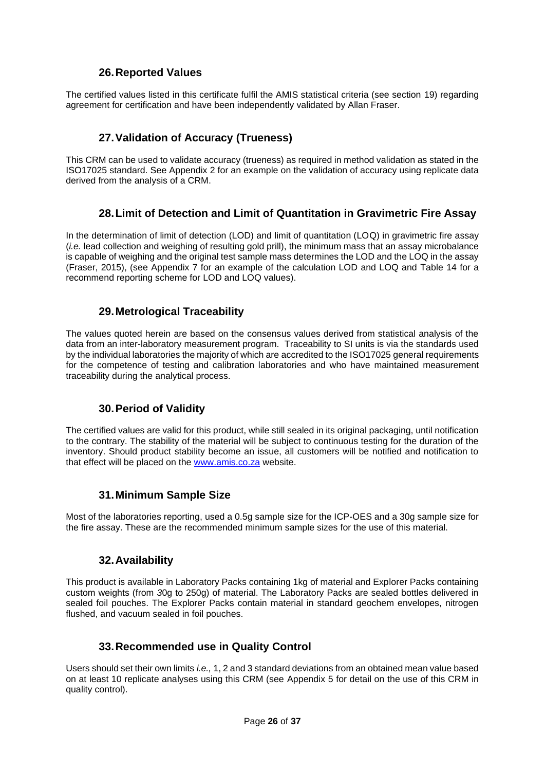## **26.Reported Values**

<span id="page-25-0"></span>The certified values listed in this certificate fulfil the AMIS statistical criteria (see section [19\)](#page-14-0) regarding agreement for certification and have been independently validated by Allan Fraser.

## **27.Validation of Accu**r**acy (Trueness)**

<span id="page-25-1"></span>This CRM can be used to validate accuracy (trueness) as required in method validation as stated in the ISO17025 standard. See [Appendix 2](#page-32-1) for an example on the validation of accuracy using replicate data derived from the analysis of a CRM.

### **28.Limit of Detection and Limit of Quantitation in Gravimetric Fire Assay**

<span id="page-25-2"></span>In the determination of limit of detection (LOD) and limit of quantitation (LOQ) in gravimetric fire assay (*i.e.* lead collection and weighing of resulting gold prill), the minimum mass that an assay microbalance is capable of weighing and the original test sample mass determines the LOD and the LOQ in the assay (Fraser, 2015), (see [Appendix 7](#page-35-2) for an example of the calculation LOD and LOQ and [Table 14](#page-35-1) for a recommend reporting scheme for LOD and LOQ values).

### **29.Metrological Traceability**

<span id="page-25-3"></span>The values quoted herein are based on the consensus values derived from statistical analysis of the data from an inter-laboratory measurement program. Traceability to SI units is via the standards used by the individual laboratories the majority of which are accredited to the ISO17025 general requirements for the competence of testing and calibration laboratories and who have maintained measurement traceability during the analytical process.

### **30.Period of Validity**

<span id="page-25-4"></span>The certified values are valid for this product, while still sealed in its original packaging, until notification to the contrary. The stability of the material will be subject to continuous testing for the duration of the inventory. Should product stability become an issue, all customers will be notified and notification to that effect will be placed on the [www.amis.co.za](http://www.amis.co.za/) website.

#### **31.Minimum Sample Size**

<span id="page-25-5"></span>Most of the laboratories reporting, used a 0.5g sample size for the ICP-OES and a 30g sample size for the fire assay. These are the recommended minimum sample sizes for the use of this material.

### **32.Availability**

<span id="page-25-6"></span>This product is available in Laboratory Packs containing 1kg of material and Explorer Packs containing custom weights (from *3*0g to 250g) of material. The Laboratory Packs are sealed bottles delivered in sealed foil pouches. The Explorer Packs contain material in standard geochem envelopes, nitrogen flushed, and vacuum sealed in foil pouches.

### **33.Recommended use in Quality Control**

<span id="page-25-7"></span>Users should set their own limits *i.e.,* 1, 2 and 3 standard deviations from an obtained mean value based on at least 10 replicate analyses using this CRM (see [Appendix 5](#page-33-2) for detail on the use of this CRM in quality control).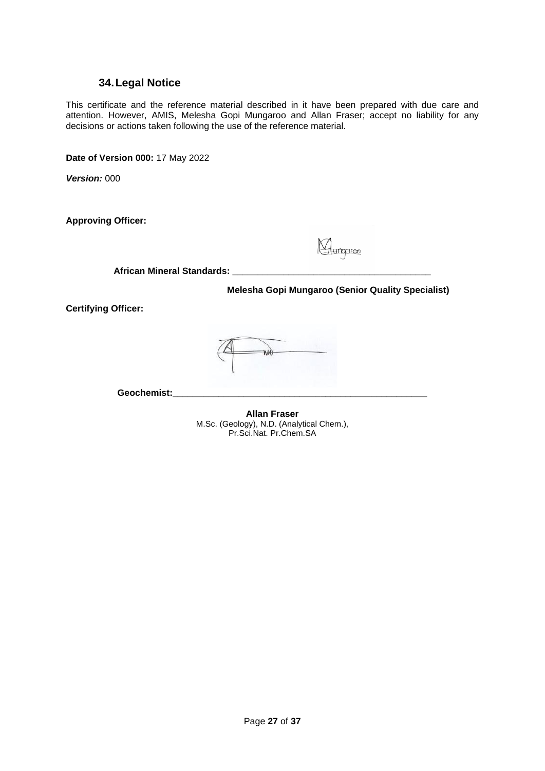#### **34.Legal Notice**

<span id="page-26-0"></span>This certificate and the reference material described in it have been prepared with due care and attention. However, AMIS, Melesha Gopi Mungaroo and Allan Fraser; accept no liability for any decisions or actions taken following the use of the reference material.

**Date of Version 000:** 17 May 2022

*Version:* 000

**Approving Officer:** 

| Mungaree |
|----------|
|----------|

**African Mineral Standards: \_\_\_\_\_\_\_\_\_\_\_\_\_\_\_\_\_\_\_\_\_\_\_\_\_\_\_\_\_\_\_\_\_\_\_\_\_\_\_**

 **Melesha Gopi Mungaroo (Senior Quality Specialist)**

**Certifying Officer:** 

**Geochemist:\_\_\_\_\_\_\_\_\_\_\_\_\_\_\_\_\_\_\_\_\_\_\_\_\_\_\_\_\_\_\_\_\_\_\_\_\_\_\_\_\_\_\_\_\_\_\_\_\_\_**

**Allan Fraser** M.Sc. (Geology), N.D. (Analytical Chem.), Pr.Sci.Nat. Pr.Chem.SA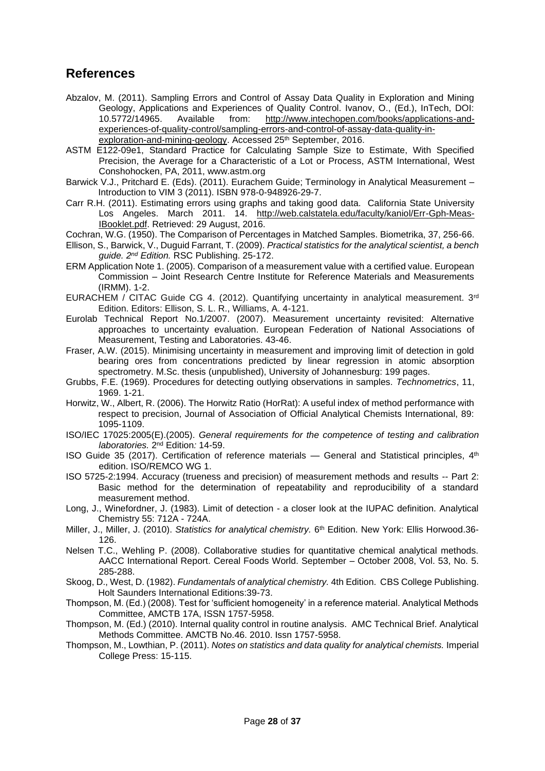## <span id="page-27-0"></span>**References**

- Abzalov, M. (2011). Sampling Errors and Control of Assay Data Quality in Exploration and Mining Geology, Applications and Experiences of Quality Control. Ivanov, O., (Ed.), InTech, DOI: 10.5772/14965. Available from: [http://www.intechopen.com/books/applications-and](http://www.intechopen.com/books/applications-and-experiences-of-quality-control/sampling-errors-and-control-of-assay-data-quality-in-exploration-and-mining-geology)[experiences-of-quality-control/sampling-errors-and-control-of-assay-data-quality-in](http://www.intechopen.com/books/applications-and-experiences-of-quality-control/sampling-errors-and-control-of-assay-data-quality-in-exploration-and-mining-geology)[exploration-and-mining-geology.](http://www.intechopen.com/books/applications-and-experiences-of-quality-control/sampling-errors-and-control-of-assay-data-quality-in-exploration-and-mining-geology) Accessed 25<sup>th</sup> September, 2016.
- ASTM E122-09e1, Standard Practice for Calculating Sample Size to Estimate, With Specified Precision, the Average for a Characteristic of a Lot or Process, ASTM International, West Conshohocken, PA, 2011, www.astm.org
- Barwick V.J., Pritchard E. (Eds). (2011). Eurachem Guide; Terminology in Analytical Measurement Introduction to VIM 3 (2011). ISBN 978-0-948926-29-7.
- Carr R.H. (2011). Estimating errors using graphs and taking good data. California State University Los Angeles. March 2011. 14. [http://web.calstatela.edu/faculty/kaniol/Err-Gph-Meas-](http://web.calstatela.edu/faculty/kaniol/Err-Gph-Meas-IBooklet.pdf)[IBooklet.pdf.](http://web.calstatela.edu/faculty/kaniol/Err-Gph-Meas-IBooklet.pdf) Retrieved: 29 August, 2016.
- Cochran, W.G. (1950). The Comparison of Percentages in Matched Samples. Biometrika, 37, 256-66.
- Ellison, S., Barwick, V., Duguid Farrant, T. (2009). *Practical statistics for the analytical scientist, a bench guide. 2nd Edition.* RSC Publishing. 25-172.
- ERM Application Note 1. (2005). Comparison of a measurement value with a certified value. European Commission – Joint Research Centre Institute for Reference Materials and Measurements (IRMM). 1-2.
- EURACHEM / CITAC Guide CG 4. (2012). Quantifying uncertainty in analytical measurement.  $3<sup>rd</sup>$ Edition. Editors: Ellison, S. L. R., Williams, A. 4-121.
- Eurolab Technical Report No.1/2007. (2007). Measurement uncertainty revisited: Alternative approaches to uncertainty evaluation. European Federation of National Associations of Measurement, Testing and Laboratories. 43-46.
- Fraser, A.W. (2015). Minimising uncertainty in measurement and improving limit of detection in gold bearing ores from concentrations predicted by linear regression in atomic absorption spectrometry. M.Sc. thesis (unpublished), University of Johannesburg: 199 pages.
- Grubbs, F.E. (1969). Procedures for detecting outlying observations in samples. *Technometrics*, 11, 1969. 1-21.
- Horwitz, W., Albert, R. (2006). The Horwitz Ratio (HorRat): A useful index of method performance with respect to precision, Journal of Association of Official Analytical Chemists International, 89: 1095-1109.
- ISO/IEC 17025:2005(E).(2005). *General requirements for the competence of testing and calibration laboratories.* 2<sup>nd</sup> Edition: 14-59.
- ISO Guide 35 (2017). Certification of reference materials General and Statistical principles,  $4<sup>th</sup>$ edition. ISO/REMCO WG 1.
- ISO 5725-2:1994. Accuracy (trueness and precision) of measurement methods and results -- Part 2: Basic method for the determination of repeatability and reproducibility of a standard measurement method.
- Long, J., Winefordner, J. (1983). Limit of detection a closer look at the IUPAC definition. Analytical Chemistry 55: 712A - 724A.
- Miller, J., Miller, J. (2010). *Statistics for analytical chemistry.* 6<sup>th</sup> Edition. New York: Ellis Horwood.36-126.
- Nelsen T.C., Wehling P. (2008). Collaborative studies for quantitative chemical analytical methods. AACC International Report. Cereal Foods World. September – October 2008, Vol. 53, No. 5. 285-288.
- Skoog, D., West, D. (1982). *Fundamentals of analytical chemistry.* 4th Edition. CBS College Publishing. Holt Saunders International Editions:39-73.
- Thompson, M. (Ed.) (2008). Test for 'sufficient homogeneity' in a reference material. Analytical Methods Committee, AMCTB 17A, ISSN 1757*-*5958.
- Thompson, M. (Ed.) (2010). Internal quality control in routine analysis. AMC Technical Brief. Analytical Methods Committee. AMCTB No.46. 2010. Issn 1757-5958.
- Thompson, M., Lowthian, P. (2011). *Notes on statistics and data quality for analytical chemists.* Imperial College Press: 15-115.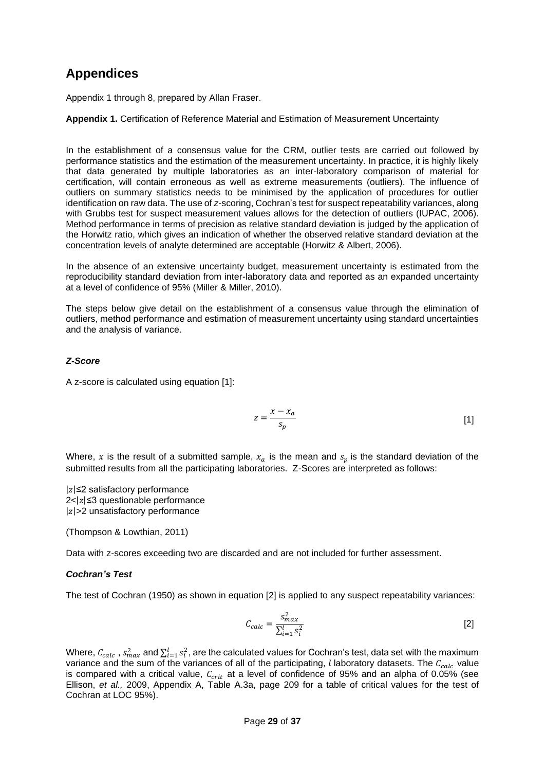## <span id="page-28-0"></span>**Appendices**

Appendix 1 through 8, prepared by Allan Fraser.

#### <span id="page-28-1"></span>**Appendix 1.** Certification of Reference Material and Estimation of Measurement Uncertainty

In the establishment of a consensus value for the CRM, outlier tests are carried out followed by performance statistics and the estimation of the measurement uncertainty. In practice, it is highly likely that data generated by multiple laboratories as an inter-laboratory comparison of material for certification, will contain erroneous as well as extreme measurements (outliers). The influence of outliers on summary statistics needs to be minimised by the application of procedures for outlier identification on raw data. The use of *z*-scoring, Cochran's test for suspect repeatability variances, along with Grubbs test for suspect measurement values allows for the detection of outliers (IUPAC, 2006). Method performance in terms of precision as relative standard deviation is judged by the application of the Horwitz ratio, which gives an indication of whether the observed relative standard deviation at the concentration levels of analyte determined are acceptable (Horwitz & Albert, 2006).

In the absence of an extensive uncertainty budget, measurement uncertainty is estimated from the reproducibility standard deviation from inter-laboratory data and reported as an expanded uncertainty at a level of confidence of 95% (Miller & Miller, 2010).

The steps below give detail on the establishment of a consensus value through the elimination of outliers, method performance and estimation of measurement uncertainty using standard uncertainties and the analysis of variance.

#### *Z-Score*

A z-score is calculated using equation [1]:

$$
z = \frac{x - x_a}{s_p} \tag{1}
$$

Where, x is the result of a submitted sample,  $x_a$  is the mean and  $s_p$  is the standard deviation of the submitted results from all the participating laboratories. Z-Scores are interpreted as follows:

 $|z|$  ≤2 satisfactory performance  $2 < |z| \leq 3$  questionable performance  $|z|$ >2 unsatisfactory performance

(Thompson & Lowthian, 2011)

Data with z-scores exceeding two are discarded and are not included for further assessment.

#### *Cochran's Test*

The test of Cochran (1950) as shown in equation [2] is applied to any suspect repeatability variances:

$$
C_{calc} = \frac{S_{max}^2}{\sum_{i=1}^l S_i^2}
$$
 [2]

Where,  $\mathcal{C}_{calc}$  ,  $\varsigma^2_{max}$  and  $\sum_{i=1}^l s_i^2$ , are the calculated values for Cochran's test, data set with the maximum variance and the sum of the variances of all of the participating,  $l$  laboratory datasets. The  $C_{calc}$  value is compared with a critical value,  $C_{crit}$  at a level of confidence of 95% and an alpha of 0.05% (see Ellison, *et al.,* 2009, Appendix A, Table A.3a, page 209 for a table of critical values for the test of Cochran at LOC 95%).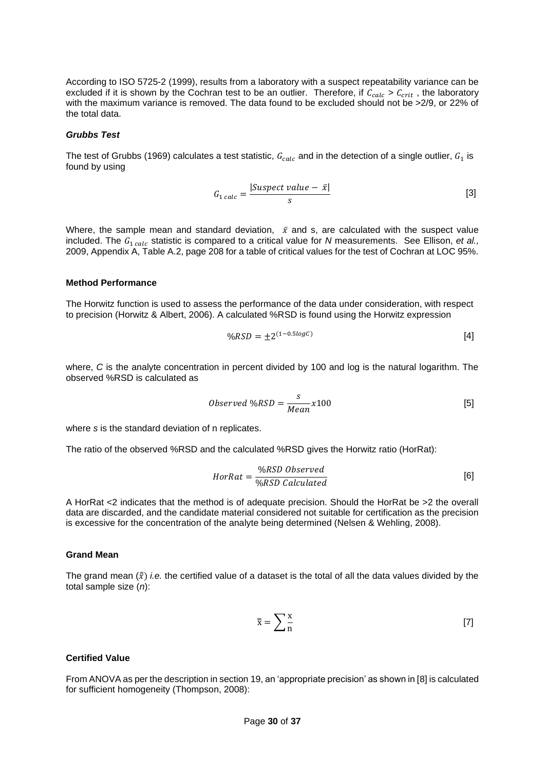According to ISO 5725-2 (1999), results from a laboratory with a suspect repeatability variance can be excluded if it is shown by the Cochran test to be an outlier. Therefore, if  $C_{calc} > C_{crit}$ , the laboratory with the maximum variance is removed. The data found to be excluded should not be >2/9, or 22% of the total data.

#### *Grubbs Test*

The test of Grubbs (1969) calculates a test statistic,  $G_{calc}$  and in the detection of a single outlier,  $G_1$  is found by using

$$
G_{1 \, calc} = \frac{|Suspect \, value - \bar{x}|}{s} \tag{3}
$$

Where, the sample mean and standard deviation,  $\bar{x}$  and s, are calculated with the suspect value included. The  $G_1_{calc}$  statistic is compared to a critical value for *N* measurements. See Ellison, *et al.*, 2009, Appendix A, Table A.2, page 208 for a table of critical values for the test of Cochran at LOC 95%.

#### **Method Performance**

The Horwitz function is used to assess the performance of the data under consideration, with respect to precision (Horwitz & Albert, 2006). A calculated %RSD is found using the Horwitz expression

$$
\%RSD = \pm 2^{(1-0.5\log C)} \tag{4}
$$

where, *C* is the analyte concentration in percent divided by 100 and log is the natural logarithm. The observed %RSD is calculated as

$$
Observed\ \%RSD = \frac{s}{Mean}x100\tag{5}
$$

where *s* is the standard deviation of n replicates.

The ratio of the observed %RSD and the calculated %RSD gives the Horwitz ratio (HorRat):

$$
HorRat = \frac{\%RSD \ Observed}{\%RSD \ Calculated}
$$
 [6]

A HorRat <2 indicates that the method is of adequate precision. Should the HorRat be >2 the overall data are discarded, and the candidate material considered not suitable for certification as the precision is excessive for the concentration of the analyte being determined (Nelsen & Wehling, 2008).

#### **Grand Mean**

The grand mean  $(\bar{x})$  *i.e.* the certified value of a dataset is the total of all the data values divided by the total sample size (*n*):

$$
\bar{\overline{x}} = \sum_{n=1}^{\infty} \overline{z} \tag{7}
$$

#### **Certified Value**

From ANOVA as per the description in section [19,](#page-14-0) an 'appropriate precision' as shown in [8] is calculated for sufficient homogeneity (Thompson, 2008):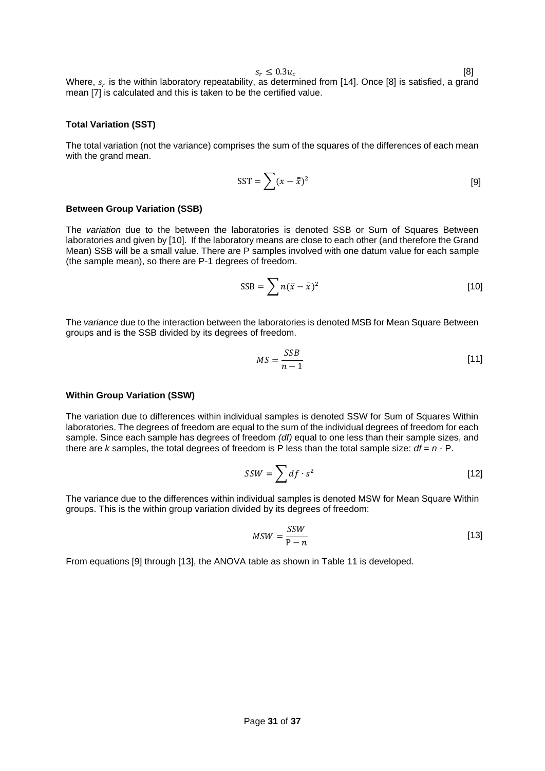$s_r \leq 0.3 u_c$ [8]

Where,  $s_r$  is the within laboratory repeatability, as determined from [14]. Once [8] is satisfied, a grand mean [7] is calculated and this is taken to be the certified value.

#### **Total Variation (SST)**

The total variation (not the variance) comprises the sum of the squares of the differences of each mean with the grand mean.

$$
SST = \sum (x - \bar{x})^2
$$
 [9]

#### **Between Group Variation (SSB)**

The *variation* due to the between the laboratories is denoted SSB or Sum of Squares Between laboratories and given by [10]. If the laboratory means are close to each other (and therefore the Grand Mean) SSB will be a small value. There are P samples involved with one datum value for each sample (the sample mean), so there are P-1 degrees of freedom.

$$
SSB = \sum n(\bar{x} - \bar{\bar{x}})^2
$$
 [10]

The *variance* due to the interaction between the laboratories is denoted MSB for Mean Square Between groups and is the SSB divided by its degrees of freedom.

$$
MS = \frac{SSB}{n-1} \tag{11}
$$

#### **Within Group Variation (SSW)**

The variation due to differences within individual samples is denoted SSW for Sum of Squares Within laboratories. The degrees of freedom are equal to the sum of the individual degrees of freedom for each sample. Since each sample has degrees of freedom *(df)* equal to one less than their sample sizes, and there are *k* samples, the total degrees of freedom is P less than the total sample size: *df* = *n* - P.

$$
SSW = \sum df \cdot s^2 \tag{12}
$$

The variance due to the differences within individual samples is denoted MSW for Mean Square Within groups. This is the within group variation divided by its degrees of freedom:

$$
MSW = \frac{SSW}{P - n} \tag{13}
$$

From equations [9] through [13], the ANOVA table as shown in [Table 11](#page-31-0) is developed.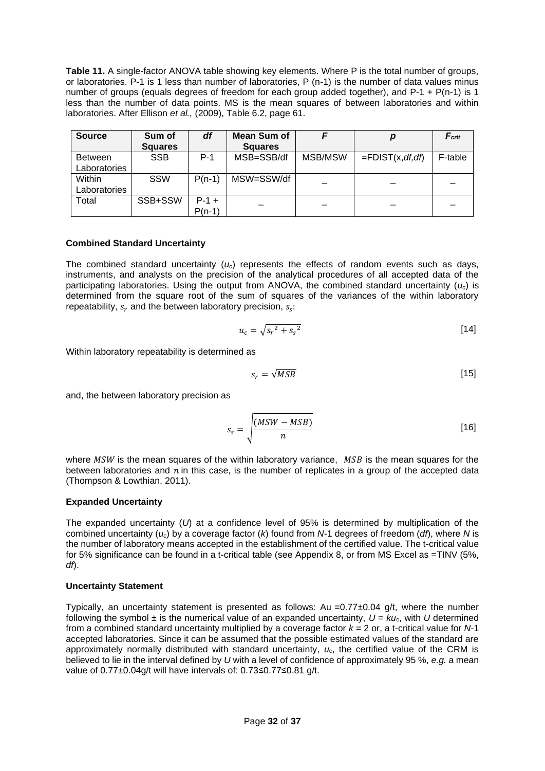<span id="page-31-0"></span>**Table 11.** A single-factor ANOVA table showing key elements. Where P is the total number of groups, or laboratories. P-1 is 1 less than number of laboratories, P (n-1) is the number of data values minus number of groups (equals degrees of freedom for each group added together), and P-1 + P(n-1) is 1 less than the number of data points. MS is the mean squares of between laboratories and within laboratories. After Ellison *et al.,* (2009), Table 6.2, page 61.

| <b>Source</b>                  | Sum of<br><b>Squares</b> | df                  | Mean Sum of<br><b>Squares</b> |         | р                       | F <sub>crit</sub> |
|--------------------------------|--------------------------|---------------------|-------------------------------|---------|-------------------------|-------------------|
| <b>Between</b><br>Laboratories | <b>SSB</b>               | $P-1$               | MSB=SSB/df                    | MSB/MSW | $=$ FDIST $(x, df, df)$ | F-table           |
| Within<br>Laboratories         | <b>SSW</b>               | $P(n-1)$            | MSW=SSW/df                    |         |                         |                   |
| Total                          | SSB+SSW                  | $P-1 +$<br>$P(n-1)$ |                               |         |                         |                   |

#### **Combined Standard Uncertainty**

The combined standard uncertainty  $(u_c)$  represents the effects of random events such as days, instruments, and analysts on the precision of the analytical procedures of all accepted data of the participating laboratories. Using the output from ANOVA, the combined standard uncertainty  $(u_c)$  is determined from the square root of the sum of squares of the variances of the within laboratory repeatability,  $s_r$  and the between laboratory precision,  $s_s$ :

$$
u_c = \sqrt{s_r^2 + s_s^2} \tag{14}
$$

Within laboratory repeatability is determined as

$$
s_r = \sqrt{MSB} \tag{15}
$$

and, the between laboratory precision as

$$
s_s = \sqrt{\frac{(MSW - MSB)}{n}}
$$
 [16]

where  $MSW$  is the mean squares of the within laboratory variance,  $MSB$  is the mean squares for the between laboratories and  $n$  in this case, is the number of replicates in a group of the accepted data (Thompson & Lowthian, 2011).

#### **Expanded Uncertainty**

The expanded uncertainty (*U*) at a confidence level of 95% is determined by multiplication of the combined uncertainty (*uc*) by a coverage factor (*k*) found from *N*-1 degrees of freedom (*df*), where *N* is the number of laboratory means accepted in the establishment of the certified value. The t-critical value for 5% significance can be found in a t-critical table (see [Appendix 8,](#page-36-2) or from MS Excel as =TINV (5%, *df*).

#### **Uncertainty Statement**

Typically, an uncertainty statement is presented as follows: Au =0.77±0.04 g/t, where the number following the symbol  $\pm$  is the numerical value of an expanded uncertainty,  $U = Ku_c$ , with *U* determined from a combined standard uncertainty multiplied by a coverage factor *k* = 2 or, a t-critical value for *N*-1 accepted laboratories. Since it can be assumed that the possible estimated values of the standard are approximately normally distributed with standard uncertainty, *u*c, the certified value of the CRM is believed to lie in the interval defined by *U* with a level of confidence of approximately 95 %, *e.g.* a mean value of 0.77±0.04g/t will have intervals of: 0.73≤0.77≤0.81 g/t.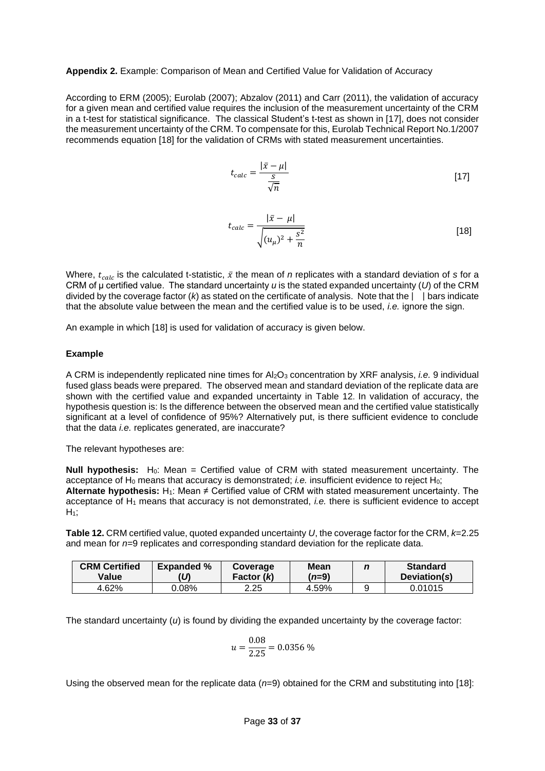#### <span id="page-32-1"></span>**Appendix 2.** Example: Comparison of Mean and Certified Value for Validation of Accuracy

According to ERM (2005); Eurolab (2007); Abzalov (2011) and Carr (2011), the validation of accuracy for a given mean and certified value requires the inclusion of the measurement uncertainty of the CRM in a t-test for statistical significance. The classical Student's t-test as shown in [17], does not consider the measurement uncertainty of the CRM. To compensate for this, Eurolab Technical Report No.1/2007 recommends equation [18] for the validation of CRMs with stated measurement uncertainties.

$$
t_{calc} = \frac{|\bar{x} - \mu|}{\frac{S}{\sqrt{n}}}
$$
 [17]

$$
t_{calc} = \frac{|\bar{x} - \mu|}{\sqrt{(u_{\mu})^2 + \frac{s^2}{n}}}
$$
 [18]

Where,  $t_{calc}$  is the calculated t-statistic,  $\bar{x}$  the mean of *n* replicates with a standard deviation of *s* for a CRM of μ certified value. The standard uncertainty *u* is the stated expanded uncertainty (*U*) of the CRM divided by the coverage factor ( $k$ ) as stated on the certificate of analysis. Note that the  $|\cdot|$  bars indicate that the absolute value between the mean and the certified value is to be used, *i.e.* ignore the sign.

An example in which [18] is used for validation of accuracy is given below.

#### **Example**

A CRM is independently replicated nine times for Al2O<sup>3</sup> concentration by XRF analysis, *i.e.* 9 individual fused glass beads were prepared. The observed mean and standard deviation of the replicate data are shown with the certified value and expanded uncertainty in [Table 12](#page-32-0). In validation of accuracy, the hypothesis question is: Is the difference between the observed mean and the certified value statistically significant at a level of confidence of 95%? Alternatively put, is there sufficient evidence to conclude that the data *i.e.* replicates generated, are inaccurate?

The relevant hypotheses are:

**Null hypothesis:** H<sub>0</sub>: Mean = Certified value of CRM with stated measurement uncertainty. The acceptance of H<sub>0</sub> means that accuracy is demonstrated; *i.e.* insufficient evidence to reject H<sub>0</sub>; **Alternate hypothesis:** H<sub>1</sub>: Mean  $\neq$  Certified value of CRM with stated measurement uncertainty. The acceptance of H<sup>1</sup> means that accuracy is not demonstrated, *i.e.* there is sufficient evidence to accept  $H_1$ ;

<span id="page-32-0"></span>**Table 12.** CRM certified value, quoted expanded uncertainty *U*, the coverage factor for the CRM, *k*=2.25 and mean for *n*=9 replicates and corresponding standard deviation for the replicate data.

| <b>CRM Certified</b><br>Value | <b>Expanded %</b> | Coverage<br>Factor (k) | <b>Mean</b><br>( <i>n</i> =9) | <b>Standard</b><br>Deviation(s) |
|-------------------------------|-------------------|------------------------|-------------------------------|---------------------------------|
| 4.62%                         | 0.08%             | 2.25                   | 4.59%                         | 0.01015                         |

The standard uncertainty (*u*) is found by dividing the expanded uncertainty by the coverage factor:

$$
u = \frac{0.08}{2.25} = 0.0356\,\%
$$

Using the observed mean for the replicate data (*n*=9) obtained for the CRM and substituting into [18]: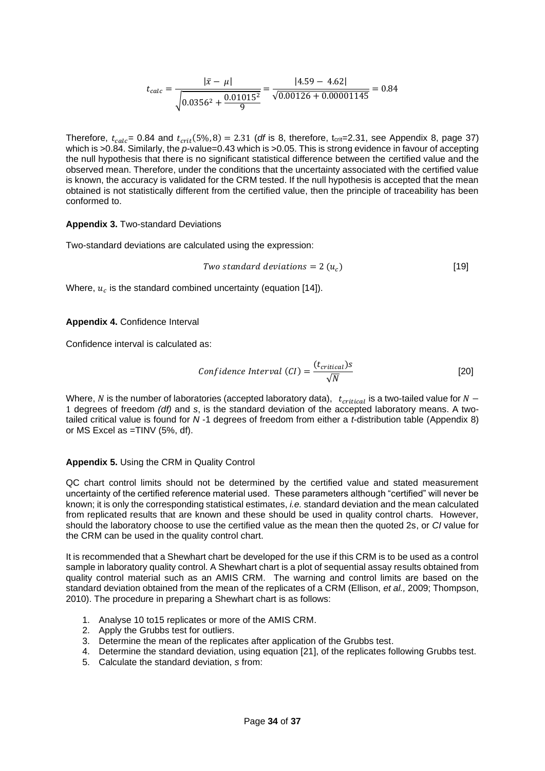$$
t_{calc} = \frac{|\bar{x} - \mu|}{\sqrt{0.0356^2 + \frac{0.01015^2}{9}}} = \frac{|4.59 - 4.62|}{\sqrt{0.00126 + 0.00001145}} = 0.84
$$

Therefore,  $t_{calc}$  = 0.84 and  $t_{crit}$  (5%, 8) = 2.31 (*df* is 8, therefore,  $t_{crit}$  = 2.31, see [Appendix 8,](#page-36-2) page [37\)](#page-36-2) which is >0.84. Similarly, the *p*-value=0.43 which is >0.05. This is strong evidence in favour of accepting the null hypothesis that there is no significant statistical difference between the certified value and the observed mean. Therefore, under the conditions that the uncertainty associated with the certified value is known, the accuracy is validated for the CRM tested. If the null hypothesis is accepted that the mean obtained is not statistically different from the certified value, then the principle of traceability has been conformed to.

#### <span id="page-33-0"></span>**Appendix 3.** Two-standard Deviations

Two-standard deviations are calculated using the expression:

Two standard deviations = 
$$
2(u_c)
$$
 [19]

Where,  $u_c$  is the standard combined uncertainty (equation [14]).

#### <span id="page-33-1"></span>**Appendix 4.** Confidence Interval

Confidence interval is calculated as:

Confidence Interval (CI) = 
$$
\frac{(t_{critical})s}{\sqrt{N}}
$$
 [20]

Where, N is the number of laboratories (accepted laboratory data),  $t_{critical}$  is a two-tailed value for  $N-$ 1 degrees of freedom *(df)* and *s*, is the standard deviation of the accepted laboratory means. A twotailed critical value is found for *N* -1 degrees of freedom from either a *t*-distribution table [\(Appendix 8\)](#page-36-2) or MS Excel as =TINV (5%, df).

#### <span id="page-33-2"></span>**Appendix 5.** Using the CRM in Quality Control

QC chart control limits should not be determined by the certified value and stated measurement uncertainty of the certified reference material used. These parameters although "certified" will never be known; it is only the corresponding statistical estimates, *i.e.* standard deviation and the mean calculated from replicated results that are known and these should be used in quality control charts. However, should the laboratory choose to use the certified value as the mean then the quoted 2s, or *CI* value for the CRM can be used in the quality control chart.

It is recommended that a Shewhart chart be developed for the use if this CRM is to be used as a control sample in laboratory quality control. A Shewhart chart is a plot of sequential assay results obtained from quality control material such as an AMIS CRM. The warning and control limits are based on the standard deviation obtained from the mean of the replicates of a CRM (Ellison, *et al.,* 2009; Thompson, 2010). The procedure in preparing a Shewhart chart is as follows:

- 1. Analyse 10 to15 replicates or more of the AMIS CRM.
- 2. Apply the Grubbs test for outliers.
- 3. Determine the mean of the replicates after application of the Grubbs test.
- 4. Determine the standard deviation, using equation [21], of the replicates following Grubbs test.
- 5. Calculate the standard deviation, *s* from: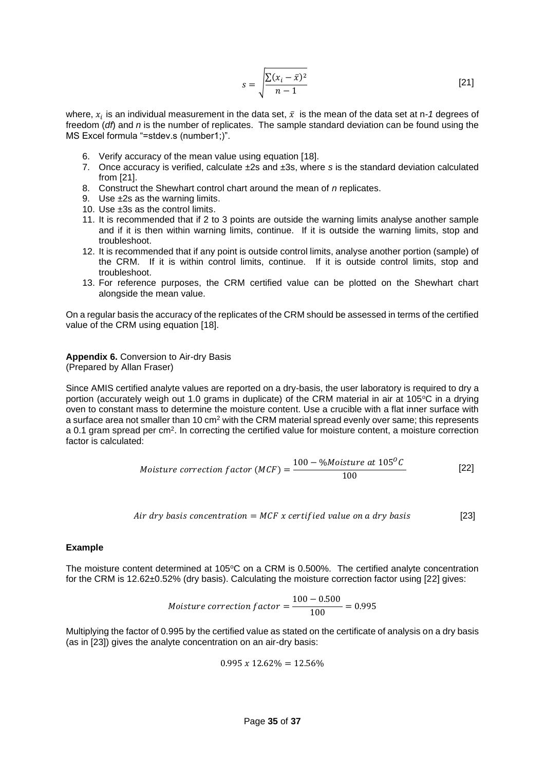$$
s = \sqrt{\frac{\sum (x_i - \bar{x})^2}{n - 1}}
$$
 [21]

where,  $x_i$  is an individual measurement in the data set,  $\bar{x}\;$  is the mean of the data set at n-1 degrees of freedom (*df*) and *n* is the number of replicates. The sample standard deviation can be found using the MS Excel formula "=stdev.s (number1;)".

- 6. Verify accuracy of the mean value using equation [18].
- 7. Once accuracy is verified, calculate ±2s and ±3s, where *s* is the standard deviation calculated from [21].
- 8. Construct the Shewhart control chart around the mean of *n* replicates.
- 9. Use ±2s as the warning limits.
- 10. Use ±3s as the control limits.
- 11. It is recommended that if 2 to 3 points are outside the warning limits analyse another sample and if it is then within warning limits, continue. If it is outside the warning limits, stop and troubleshoot.
- 12. It is recommended that if any point is outside control limits, analyse another portion (sample) of the CRM. If it is within control limits, continue. If it is outside control limits, stop and troubleshoot.
- 13. For reference purposes, the CRM certified value can be plotted on the Shewhart chart alongside the mean value.

On a regular basis the accuracy of the replicates of the CRM should be assessed in terms of the certified value of the CRM using equation [18].

<span id="page-34-0"></span>**Appendix 6.** Conversion to Air-dry Basis (Prepared by Allan Fraser)

Since AMIS certified analyte values are reported on a dry-basis, the user laboratory is required to dry a portion (accurately weigh out 1.0 grams in duplicate) of the CRM material in air at 105°C in a drying oven to constant mass to determine the moisture content. Use a crucible with a flat inner surface with a surface area not smaller than 10 cm<sup>2</sup> with the CRM material spread evenly over same; this represents a 0.1 gram spread per cm<sup>2</sup>. In correcting the certified value for moisture content, a moisture correction factor is calculated:

$$
Moisture\ correction\ factor\ (MCF) = \frac{100 - %Moisture\ at\ 105^{\circ}C}{100}
$$
 [22]

$$
Air dry basis concentration = MCF x certified value on a dry basis
$$
 [23]

#### **Example**

The moisture content determined at 105°C on a CRM is 0.500%. The certified analyte concentration for the CRM is 12.62±0.52% (dry basis). Calculating the moisture correction factor using [22] gives:

$$
Moisture\ correction\ factor = \frac{100 - 0.500}{100} = 0.995
$$

Multiplying the factor of 0.995 by the certified value as stated on the certificate of analysis on a dry basis (as in [23]) gives the analyte concentration on an air-dry basis:

$$
0.995\ x\ 12.62\% = 12.56\%
$$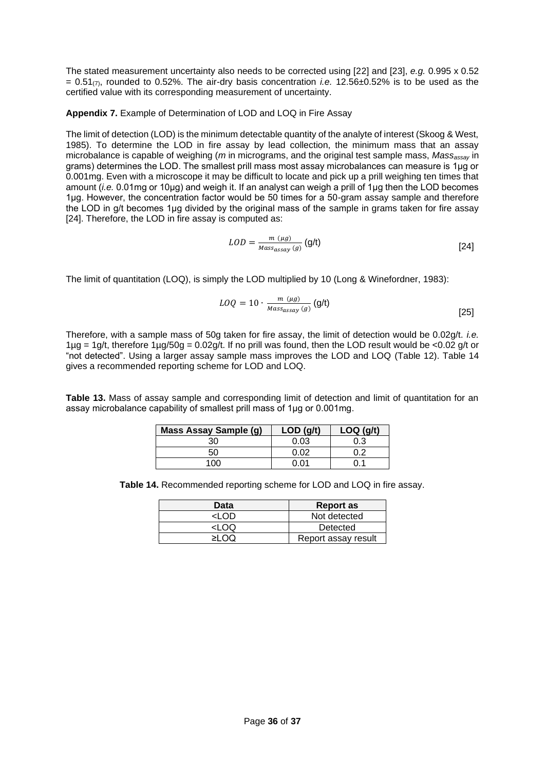The stated measurement uncertainty also needs to be corrected using [22] and [23], *e.g.* 0.995 x 0.52  $= 0.51<sub>(7)</sub>$ , rounded to 0.52%. The air-dry basis concentration *i.e.* 12.56 $\pm$ 0.52% is to be used as the certified value with its corresponding measurement of uncertainty.

<span id="page-35-2"></span>**Appendix 7.** Example of Determination of LOD and LOQ in Fire Assay

The limit of detection (LOD) is the minimum detectable quantity of the analyte of interest (Skoog & West, 1985). To determine the LOD in fire assay by lead collection, the minimum mass that an assay microbalance is capable of weighing (*m* in micrograms, and the original test sample mass, *Massassay* in grams) determines the LOD. The smallest prill mass most assay microbalances can measure is 1μg or 0.001mg. Even with a microscope it may be difficult to locate and pick up a prill weighing ten times that amount (*i.e.* 0.01mg or 10μg) and weigh it. If an analyst can weigh a prill of 1μg then the LOD becomes 1μg. However, the concentration factor would be 50 times for a 50-gram assay sample and therefore the LOD in g/t becomes 1μg divided by the original mass of the sample in grams taken for fire assay [24]. Therefore, the LOD in fire assay is computed as:

$$
LOD = \frac{m(\mu g)}{Mass_{assay}(g)} (g/t)
$$
 [24]

The limit of quantitation (LOQ), is simply the LOD multiplied by 10 (Long & Winefordner, 1983):

$$
LOQ = 10 \cdot \frac{m(\mu g)}{Mass_{assay}(g)} (g/t)
$$
 [25]

Therefore, with a sample mass of 50g taken for fire assay, the limit of detection would be 0.02g/t. *i.e.*  $1\mu$ g = 1g/t, therefore  $1\mu$ g/50g = 0.02g/t. If no prill was found, then the LOD result would be <0.02 g/t or "not detected". Using a larger assay sample mass improves the LOD and LOQ [\(Table 12\)](#page-32-0). [Table 14](#page-35-1) gives a recommended reporting scheme for LOD and LOQ.

<span id="page-35-0"></span>**Table 13.** Mass of assay sample and corresponding limit of detection and limit of quantitation for an assay microbalance capability of smallest prill mass of 1μg or 0.001mg.

| <b>Mass Assay Sample (g)</b> | LOD(q/t) | $LOQ$ (g/t) |
|------------------------------|----------|-------------|
| 30                           | 0.03     | 0.3         |
| 50                           | ስ ሰን     |             |
| חחו                          | በ በ1     |             |

<span id="page-35-1"></span>**Table 14.** Recommended reporting scheme for LOD and LOQ in fire assay.

| Data  | <b>Report as</b>    |
|-------|---------------------|
| חח ו۔ | Not detected        |
| <1 OQ | Detected            |
|       | Report assay result |